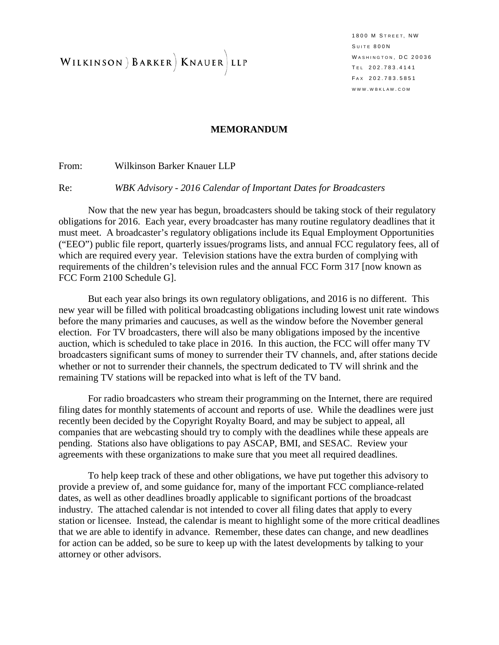WILKINSON ) BARKER | KNAUER LLP

1800 M STREET, NW SUITE 800N WASHINGTON, DC 20036 T EL 202.783.4141 F AX 202.783.5851 WWW . WBKLAW . COM

#### **MEMORANDUM**

From: Wilkinson Barker Knauer LLP

Re: *WBK Advisory - 2016 Calendar of Important Dates for Broadcasters*

Now that the new year has begun, broadcasters should be taking stock of their regulatory obligations for 2016. Each year, every broadcaster has many routine regulatory deadlines that it must meet. A broadcaster's regulatory obligations include its Equal Employment Opportunities ("EEO") public file report, quarterly issues/programs lists, and annual FCC regulatory fees, all of which are required every year. Television stations have the extra burden of complying with requirements of the children's television rules and the annual FCC Form 317 [now known as FCC Form 2100 Schedule G].

But each year also brings its own regulatory obligations, and 2016 is no different. This new year will be filled with political broadcasting obligations including lowest unit rate windows before the many primaries and caucuses, as well as the window before the November general election. For TV broadcasters, there will also be many obligations imposed by the incentive auction, which is scheduled to take place in 2016. In this auction, the FCC will offer many TV broadcasters significant sums of money to surrender their TV channels, and, after stations decide whether or not to surrender their channels, the spectrum dedicated to TV will shrink and the remaining TV stations will be repacked into what is left of the TV band.

For radio broadcasters who stream their programming on the Internet, there are required filing dates for monthly statements of account and reports of use. While the deadlines were just recently been decided by the Copyright Royalty Board, and may be subject to appeal, all companies that are webcasting should try to comply with the deadlines while these appeals are pending. Stations also have obligations to pay ASCAP, BMI, and SESAC. Review your agreements with these organizations to make sure that you meet all required deadlines.

To help keep track of these and other obligations, we have put together this advisory to provide a preview of, and some guidance for, many of the important FCC compliance-related dates, as well as other deadlines broadly applicable to significant portions of the broadcast industry. The attached calendar is not intended to cover all filing dates that apply to every station or licensee. Instead, the calendar is meant to highlight some of the more critical deadlines that we are able to identify in advance. Remember, these dates can change, and new deadlines for action can be added, so be sure to keep up with the latest developments by talking to your attorney or other advisors.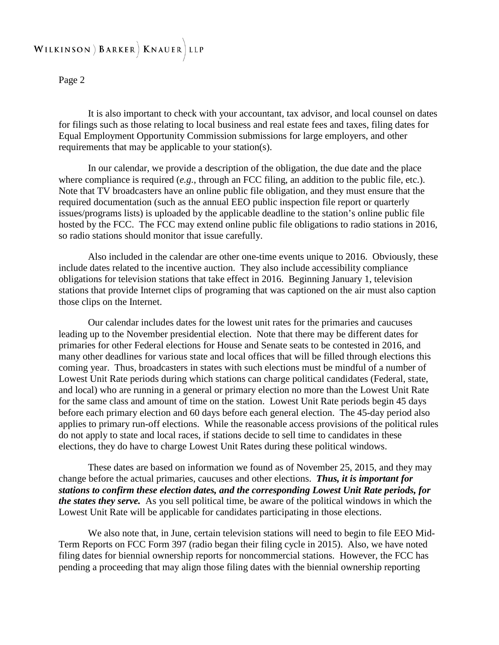#### WILKINSON ) BARKER | KNAUER LLP

#### Page 2

It is also important to check with your accountant, tax advisor, and local counsel on dates for filings such as those relating to local business and real estate fees and taxes, filing dates for Equal Employment Opportunity Commission submissions for large employers, and other requirements that may be applicable to your station(s).

In our calendar, we provide a description of the obligation, the due date and the place where compliance is required (*e.g.*, through an FCC filing, an addition to the public file, etc.). Note that TV broadcasters have an online public file obligation, and they must ensure that the required documentation (such as the annual EEO public inspection file report or quarterly issues/programs lists) is uploaded by the applicable deadline to the station's online public file hosted by the FCC. The FCC may extend online public file obligations to radio stations in 2016, so radio stations should monitor that issue carefully.

Also included in the calendar are other one-time events unique to 2016. Obviously, these include dates related to the incentive auction. They also include accessibility compliance obligations for television stations that take effect in 2016. Beginning January 1, television stations that provide Internet clips of programing that was captioned on the air must also caption those clips on the Internet.

Our calendar includes dates for the lowest unit rates for the primaries and caucuses leading up to the November presidential election. Note that there may be different dates for primaries for other Federal elections for House and Senate seats to be contested in 2016, and many other deadlines for various state and local offices that will be filled through elections this coming year. Thus, broadcasters in states with such elections must be mindful of a number of Lowest Unit Rate periods during which stations can charge political candidates (Federal, state, and local) who are running in a general or primary election no more than the Lowest Unit Rate for the same class and amount of time on the station. Lowest Unit Rate periods begin 45 days before each primary election and 60 days before each general election. The 45-day period also applies to primary run-off elections. While the reasonable access provisions of the political rules do not apply to state and local races, if stations decide to sell time to candidates in these elections, they do have to charge Lowest Unit Rates during these political windows.

These dates are based on information we found as of November 25, 2015, and they may change before the actual primaries, caucuses and other elections. *Thus, it is important for stations to confirm these election dates, and the corresponding Lowest Unit Rate periods, for the states they serve.* As you sell political time, be aware of the political windows in which the Lowest Unit Rate will be applicable for candidates participating in those elections.

We also note that, in June, certain television stations will need to begin to file EEO Mid-Term Reports on FCC Form 397 (radio began their filing cycle in 2015). Also, we have noted filing dates for biennial ownership reports for noncommercial stations. However, the FCC has pending a proceeding that may align those filing dates with the biennial ownership reporting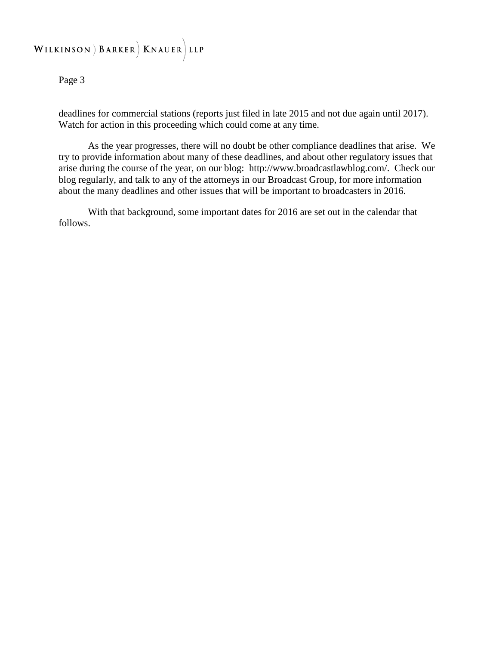#### WILKINSON ) BARKER | KNAUER LLP

Page 3

deadlines for commercial stations (reports just filed in late 2015 and not due again until 2017). Watch for action in this proceeding which could come at any time.

As the year progresses, there will no doubt be other compliance deadlines that arise. We try to provide information about many of these deadlines, and about other regulatory issues that arise during the course of the year, on our blog: http://www.broadcastlawblog.com/. Check our blog regularly, and talk to any of the attorneys in our Broadcast Group, for more information about the many deadlines and other issues that will be important to broadcasters in 2016.

With that background, some important dates for 2016 are set out in the calendar that follows.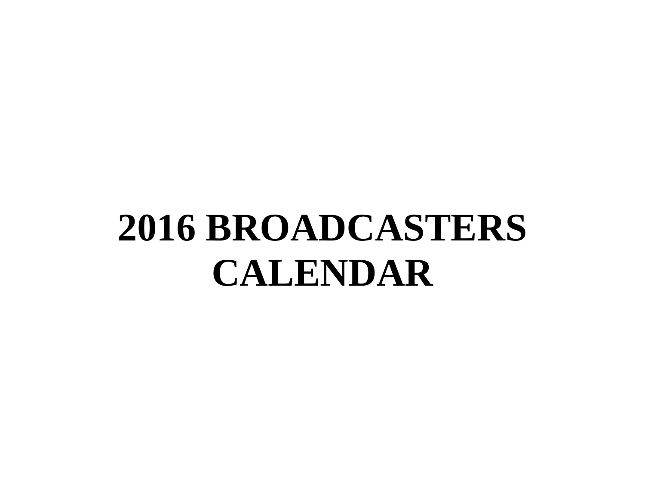# **2016 BROADCASTERS CALENDAR**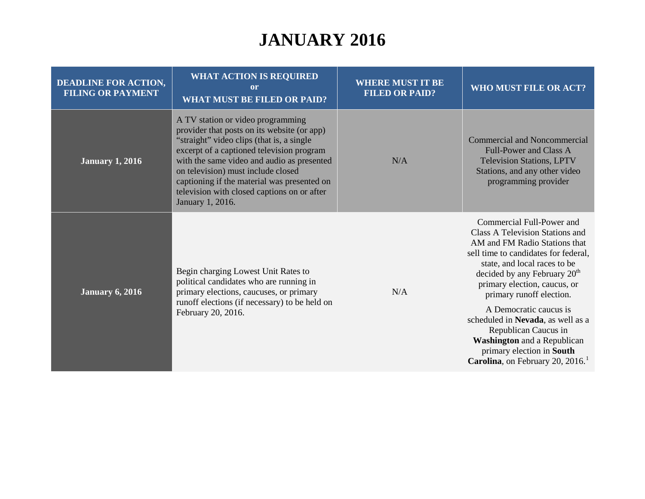| <b>DEADLINE FOR ACTION,</b><br><b>FILING OR PAYMENT</b> | <b>WHAT ACTION IS REQUIRED</b><br>or<br><b>WHAT MUST BE FILED OR PAID?</b>                                                                                                                                                                                                                                                                                                       | <b>WHERE MUST IT BE</b><br><b>FILED OR PAID?</b> | WHO MUST FILE OR ACT?                                                                                                                                                                                                                                                                                                                                                                                                                                                                           |
|---------------------------------------------------------|----------------------------------------------------------------------------------------------------------------------------------------------------------------------------------------------------------------------------------------------------------------------------------------------------------------------------------------------------------------------------------|--------------------------------------------------|-------------------------------------------------------------------------------------------------------------------------------------------------------------------------------------------------------------------------------------------------------------------------------------------------------------------------------------------------------------------------------------------------------------------------------------------------------------------------------------------------|
| <b>January 1, 2016</b>                                  | A TV station or video programming<br>provider that posts on its website (or app)<br>"straight" video clips (that is, a single<br>excerpt of a captioned television program<br>with the same video and audio as presented<br>on television) must include closed<br>captioning if the material was presented on<br>television with closed captions on or after<br>January 1, 2016. | N/A                                              | <b>Commercial and Noncommercial</b><br>Full-Power and Class A<br><b>Television Stations, LPTV</b><br>Stations, and any other video<br>programming provider                                                                                                                                                                                                                                                                                                                                      |
| <b>January 6, 2016</b>                                  | Begin charging Lowest Unit Rates to<br>political candidates who are running in<br>primary elections, caucuses, or primary<br>runoff elections (if necessary) to be held on<br>February 20, 2016.                                                                                                                                                                                 | N/A                                              | Commercial Full-Power and<br>Class A Television Stations and<br>AM and FM Radio Stations that<br>sell time to candidates for federal,<br>state, and local races to be<br>decided by any February 20 <sup>th</sup><br>primary election, caucus, or<br>primary runoff election.<br>A Democratic caucus is<br>scheduled in Nevada, as well as a<br>Republican Caucus in<br><b>Washington</b> and a Republican<br>primary election in South<br><b>Carolina</b> , on February 20, 2016. <sup>1</sup> |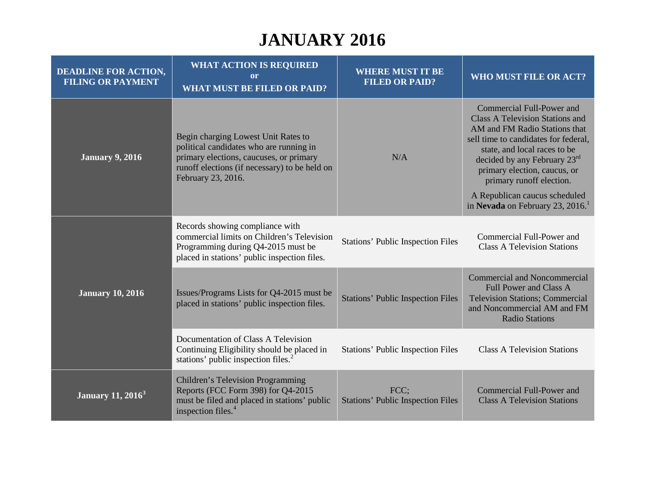| <b>DEADLINE FOR ACTION,</b><br><b>FILING OR PAYMENT</b> | <b>WHAT ACTION IS REQUIRED</b><br><sub>or</sub><br><b>WHAT MUST BE FILED OR PAID?</b>                                                                                                            | <b>WHERE MUST IT BE</b><br><b>FILED OR PAID?</b> | <b>WHO MUST FILE OR ACT?</b>                                                                                                                                                                                                                                             |
|---------------------------------------------------------|--------------------------------------------------------------------------------------------------------------------------------------------------------------------------------------------------|--------------------------------------------------|--------------------------------------------------------------------------------------------------------------------------------------------------------------------------------------------------------------------------------------------------------------------------|
| <b>January 9, 2016</b>                                  | Begin charging Lowest Unit Rates to<br>political candidates who are running in<br>primary elections, caucuses, or primary<br>runoff elections (if necessary) to be held on<br>February 23, 2016. | N/A                                              | Commercial Full-Power and<br><b>Class A Television Stations and</b><br>AM and FM Radio Stations that<br>sell time to candidates for federal,<br>state, and local races to be<br>decided by any February 23rd<br>primary election, caucus, or<br>primary runoff election. |
|                                                         |                                                                                                                                                                                                  |                                                  | A Republican caucus scheduled<br>in Nevada on February 23, 2016.                                                                                                                                                                                                         |
| <b>January 10, 2016</b>                                 | Records showing compliance with<br>commercial limits on Children's Television<br>Programming during Q4-2015 must be<br>placed in stations' public inspection files.                              | <b>Stations' Public Inspection Files</b>         | Commercial Full-Power and<br><b>Class A Television Stations</b>                                                                                                                                                                                                          |
|                                                         | Issues/Programs Lists for Q4-2015 must be<br>placed in stations' public inspection files.                                                                                                        | <b>Stations' Public Inspection Files</b>         | <b>Commercial and Noncommercial</b><br><b>Full Power and Class A</b><br><b>Television Stations; Commercial</b><br>and Noncommercial AM and FM<br><b>Radio Stations</b>                                                                                                   |
|                                                         | Documentation of Class A Television<br>Continuing Eligibility should be placed in<br>stations' public inspection files. <sup>2</sup>                                                             | <b>Stations' Public Inspection Files</b>         | <b>Class A Television Stations</b>                                                                                                                                                                                                                                       |
| <b>January 11, 2016</b> <sup>3</sup>                    | Children's Television Programming<br>Reports (FCC Form 398) for Q4-2015<br>must be filed and placed in stations' public<br>inspection files. <sup>4</sup>                                        | FCC;<br><b>Stations' Public Inspection Files</b> | Commercial Full-Power and<br><b>Class A Television Stations</b>                                                                                                                                                                                                          |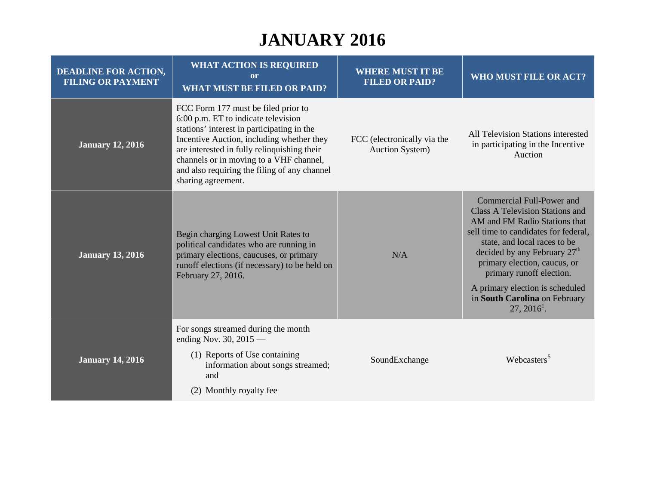| <b>DEADLINE FOR ACTION,</b><br><b>FILING OR PAYMENT</b> | <b>WHAT ACTION IS REQUIRED</b><br>or<br><b>WHAT MUST BE FILED OR PAID?</b>                                                                                                                                                                                                                                                            | <b>WHERE MUST IT BE</b><br><b>FILED OR PAID?</b>      | <b>WHO MUST FILE OR ACT?</b>                                                                                                                                                                                                                                                                                  |
|---------------------------------------------------------|---------------------------------------------------------------------------------------------------------------------------------------------------------------------------------------------------------------------------------------------------------------------------------------------------------------------------------------|-------------------------------------------------------|---------------------------------------------------------------------------------------------------------------------------------------------------------------------------------------------------------------------------------------------------------------------------------------------------------------|
| <b>January 12, 2016</b>                                 | FCC Form 177 must be filed prior to<br>6:00 p.m. ET to indicate television<br>stations' interest in participating in the<br>Incentive Auction, including whether they<br>are interested in fully relinquishing their<br>channels or in moving to a VHF channel,<br>and also requiring the filing of any channel<br>sharing agreement. | FCC (electronically via the<br><b>Auction System)</b> | All Television Stations interested<br>in participating in the Incentive<br>Auction                                                                                                                                                                                                                            |
| <b>January 13, 2016</b>                                 | Begin charging Lowest Unit Rates to<br>political candidates who are running in<br>primary elections, caucuses, or primary<br>runoff elections (if necessary) to be held on<br>February 27, 2016.                                                                                                                                      | N/A                                                   | Commercial Full-Power and<br><b>Class A Television Stations and</b><br>AM and FM Radio Stations that<br>sell time to candidates for federal,<br>state, and local races to be<br>decided by any February $27th$<br>primary election, caucus, or<br>primary runoff election.<br>A primary election is scheduled |
|                                                         |                                                                                                                                                                                                                                                                                                                                       |                                                       | in South Carolina on February<br>$27, 2016^1$ .                                                                                                                                                                                                                                                               |
| <b>January 14, 2016</b>                                 | For songs streamed during the month<br>ending Nov. 30, $2015$ —<br>(1) Reports of Use containing<br>information about songs streamed;<br>and                                                                                                                                                                                          | SoundExchange                                         | Webcasters <sup>5</sup>                                                                                                                                                                                                                                                                                       |
|                                                         | (2) Monthly royalty fee                                                                                                                                                                                                                                                                                                               |                                                       |                                                                                                                                                                                                                                                                                                               |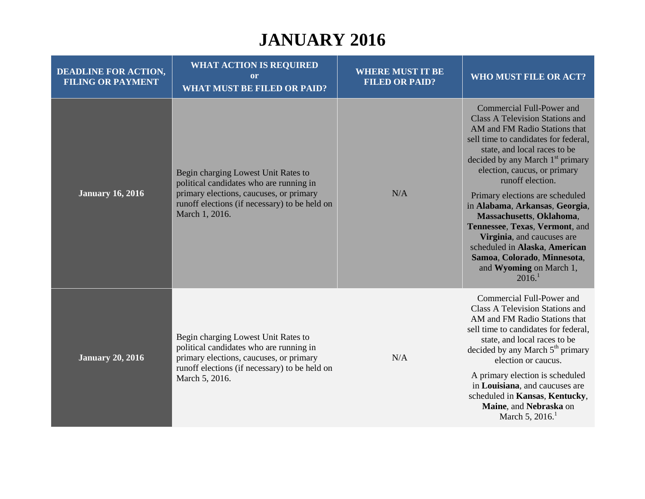| <b>DEADLINE FOR ACTION,</b><br><b>FILING OR PAYMENT</b> | <b>WHAT ACTION IS REQUIRED</b><br><sub>or</sub><br><b>WHAT MUST BE FILED OR PAID?</b>                                                                                                        | <b>WHERE MUST IT BE</b><br><b>FILED OR PAID?</b> | WHO MUST FILE OR ACT?                                                                                                                                                                                                                                                                                                                                                                                                                                                                                                                                             |
|---------------------------------------------------------|----------------------------------------------------------------------------------------------------------------------------------------------------------------------------------------------|--------------------------------------------------|-------------------------------------------------------------------------------------------------------------------------------------------------------------------------------------------------------------------------------------------------------------------------------------------------------------------------------------------------------------------------------------------------------------------------------------------------------------------------------------------------------------------------------------------------------------------|
| <b>January 16, 2016</b>                                 | Begin charging Lowest Unit Rates to<br>political candidates who are running in<br>primary elections, caucuses, or primary<br>runoff elections (if necessary) to be held on<br>March 1, 2016. | N/A                                              | Commercial Full-Power and<br><b>Class A Television Stations and</b><br>AM and FM Radio Stations that<br>sell time to candidates for federal,<br>state, and local races to be<br>decided by any March 1 <sup>st</sup> primary<br>election, caucus, or primary<br>runoff election.<br>Primary elections are scheduled<br>in Alabama, Arkansas, Georgia,<br>Massachusetts, Oklahoma,<br>Tennessee, Texas, Vermont, and<br>Virginia, and caucuses are<br>scheduled in Alaska, American<br>Samoa, Colorado, Minnesota,<br>and Wyoming on March 1,<br>2016 <sup>1</sup> |
| <b>January 20, 2016</b>                                 | Begin charging Lowest Unit Rates to<br>political candidates who are running in<br>primary elections, caucuses, or primary<br>runoff elections (if necessary) to be held on<br>March 5, 2016. | N/A                                              | Commercial Full-Power and<br><b>Class A Television Stations and</b><br>AM and FM Radio Stations that<br>sell time to candidates for federal,<br>state, and local races to be<br>decided by any March 5 <sup>th</sup> primary<br>election or caucus.<br>A primary election is scheduled<br>in Louisiana, and caucuses are<br>scheduled in Kansas, Kentucky,<br>Maine, and Nebraska on<br>March 5, $2016$ <sup>1</sup>                                                                                                                                              |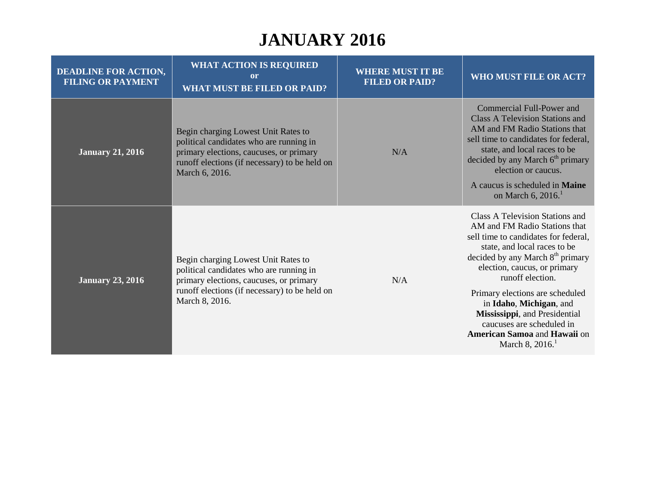| <b>DEADLINE FOR ACTION,</b><br><b>FILING OR PAYMENT</b> | <b>WHAT ACTION IS REQUIRED</b><br><sub>or</sub><br><b>WHAT MUST BE FILED OR PAID?</b>                                                                                                        | <b>WHERE MUST IT BE</b><br><b>FILED OR PAID?</b> | WHO MUST FILE OR ACT?                                                                                                                                                                                                                                                                                                                                                                                                                    |
|---------------------------------------------------------|----------------------------------------------------------------------------------------------------------------------------------------------------------------------------------------------|--------------------------------------------------|------------------------------------------------------------------------------------------------------------------------------------------------------------------------------------------------------------------------------------------------------------------------------------------------------------------------------------------------------------------------------------------------------------------------------------------|
| <b>January 21, 2016</b>                                 | Begin charging Lowest Unit Rates to<br>political candidates who are running in<br>primary elections, caucuses, or primary<br>runoff elections (if necessary) to be held on<br>March 6, 2016. | N/A                                              | Commercial Full-Power and<br><b>Class A Television Stations and</b><br>AM and FM Radio Stations that<br>sell time to candidates for federal,<br>state, and local races to be<br>decided by any March 6 <sup>th</sup> primary<br>election or caucus.<br>A caucus is scheduled in Maine<br>on March 6, 2016.                                                                                                                               |
| <b>January 23, 2016</b>                                 | Begin charging Lowest Unit Rates to<br>political candidates who are running in<br>primary elections, caucuses, or primary<br>runoff elections (if necessary) to be held on<br>March 8, 2016. | N/A                                              | Class A Television Stations and<br>AM and FM Radio Stations that<br>sell time to candidates for federal,<br>state, and local races to be<br>decided by any March 8 <sup>th</sup> primary<br>election, caucus, or primary<br>runoff election.<br>Primary elections are scheduled<br>in Idaho, Michigan, and<br>Mississippi, and Presidential<br>caucuses are scheduled in<br>American Samoa and Hawaii on<br>March 8, $2016$ <sup>1</sup> |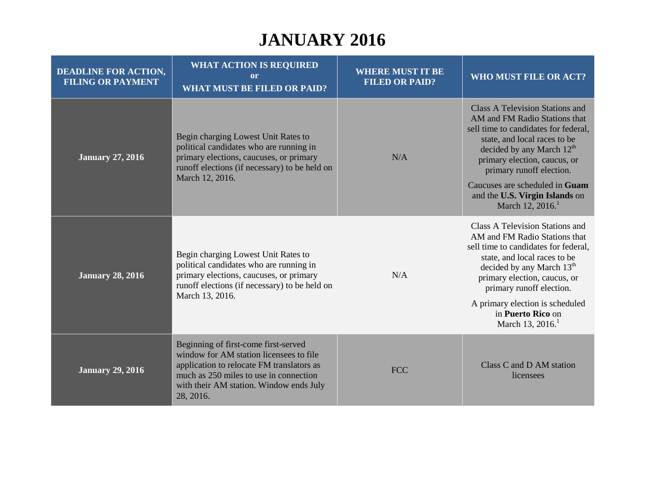| <b>DEADLINE FOR ACTION,</b><br><b>FILING OR PAYMENT</b> | <b>WHAT ACTION IS REQUIRED</b><br><sub>or</sub><br><b>WHAT MUST BE FILED OR PAID?</b>                                                                                                                                          | <b>WHERE MUST IT BE</b><br><b>FILED OR PAID?</b> | WHO MUST FILE OR ACT?                                                                                                                                                                                                                                                                                                                           |
|---------------------------------------------------------|--------------------------------------------------------------------------------------------------------------------------------------------------------------------------------------------------------------------------------|--------------------------------------------------|-------------------------------------------------------------------------------------------------------------------------------------------------------------------------------------------------------------------------------------------------------------------------------------------------------------------------------------------------|
| <b>January 27, 2016</b>                                 | Begin charging Lowest Unit Rates to<br>political candidates who are running in<br>primary elections, caucuses, or primary<br>runoff elections (if necessary) to be held on<br>March 12, 2016.                                  | N/A                                              | <b>Class A Television Stations and</b><br>AM and FM Radio Stations that<br>sell time to candidates for federal,<br>state, and local races to be<br>decided by any March $12th$<br>primary election, caucus, or<br>primary runoff election.<br>Caucuses are scheduled in Guam<br>and the U.S. Virgin Islands on<br>March 12, $2016$ <sup>1</sup> |
| <b>January 28, 2016</b>                                 | Begin charging Lowest Unit Rates to<br>political candidates who are running in<br>primary elections, caucuses, or primary<br>runoff elections (if necessary) to be held on<br>March 13, 2016.                                  | N/A                                              | Class A Television Stations and<br>AM and FM Radio Stations that<br>sell time to candidates for federal,<br>state, and local races to be<br>decided by any March 13 <sup>th</sup><br>primary election, caucus, or<br>primary runoff election.<br>A primary election is scheduled<br>in Puerto Rico on<br>March 13, 2016. <sup>1</sup>           |
| <b>January 29, 2016</b>                                 | Beginning of first-come first-served<br>window for AM station licensees to file<br>application to relocate FM translators as<br>much as 250 miles to use in connection<br>with their AM station. Window ends July<br>28, 2016. | <b>FCC</b>                                       | Class C and D AM station<br>licensees                                                                                                                                                                                                                                                                                                           |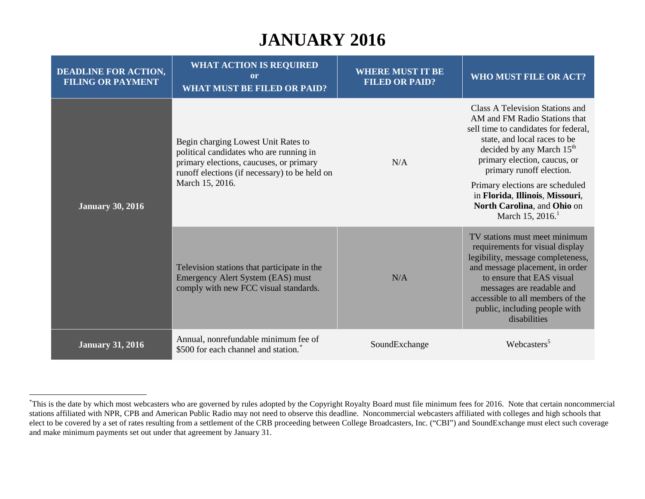<span id="page-10-0"></span>

| <b>DEADLINE FOR ACTION,</b><br><b>FILING OR PAYMENT</b> | <b>WHAT ACTION IS REQUIRED</b><br><sub>or</sub><br><b>WHAT MUST BE FILED OR PAID?</b>                                                                                                         | <b>WHERE MUST IT BE</b><br><b>FILED OR PAID?</b> | <b>WHO MUST FILE OR ACT?</b>                                                                                                                                                                                                                                                            |
|---------------------------------------------------------|-----------------------------------------------------------------------------------------------------------------------------------------------------------------------------------------------|--------------------------------------------------|-----------------------------------------------------------------------------------------------------------------------------------------------------------------------------------------------------------------------------------------------------------------------------------------|
| <b>January 30, 2016</b>                                 | Begin charging Lowest Unit Rates to<br>political candidates who are running in<br>primary elections, caucuses, or primary<br>runoff elections (if necessary) to be held on<br>March 15, 2016. | N/A                                              | Class A Television Stations and<br>AM and FM Radio Stations that<br>sell time to candidates for federal,<br>state, and local races to be<br>decided by any March 15 <sup>th</sup><br>primary election, caucus, or<br>primary runoff election.                                           |
|                                                         |                                                                                                                                                                                               |                                                  | Primary elections are scheduled<br>in Florida, Illinois, Missouri,<br>North Carolina, and Ohio on<br>March 15, 2016.                                                                                                                                                                    |
|                                                         | Television stations that participate in the<br>Emergency Alert System (EAS) must<br>comply with new FCC visual standards.                                                                     | N/A                                              | TV stations must meet minimum<br>requirements for visual display<br>legibility, message completeness,<br>and message placement, in order<br>to ensure that EAS visual<br>messages are readable and<br>accessible to all members of the<br>public, including people with<br>disabilities |
| <b>January 31, 2016</b>                                 | Annual, nonrefundable minimum fee of<br>\$500 for each channel and station.                                                                                                                   | SoundExchange                                    | Webcasters <sup>5</sup>                                                                                                                                                                                                                                                                 |

 <sup>\*</sup> This is the date by which most webcasters who are governed by rules adopted by the Copyright Royalty Board must file minimum fees for 2016. Note that certain noncommercial stations affiliated with NPR, CPB and American Public Radio may not need to observe this deadline. Noncommercial webcasters affiliated with colleges and high schools that elect to be covered by a set of rates resulting from a settlement of the CRB proceeding between College Broadcasters, Inc. ("CBI") and SoundExchange must elect such coverage and make minimum payments set out under that agreement by January 31.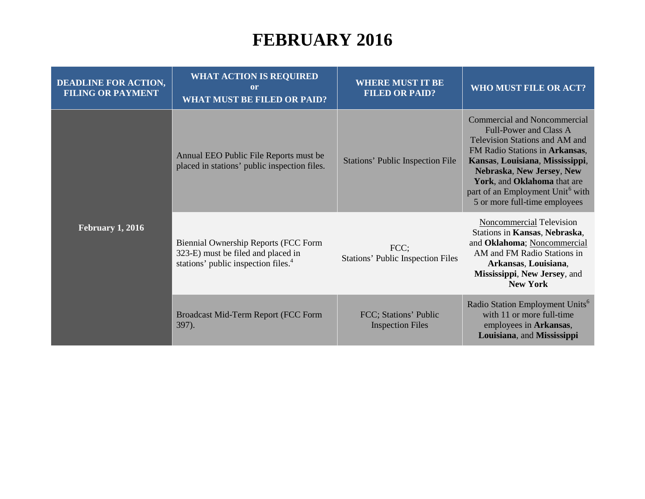| <b>DEADLINE FOR ACTION,</b><br><b>FILING OR PAYMENT</b> | <b>WHAT ACTION IS REQUIRED</b><br>$\mathbf{or}$<br><b>WHAT MUST BE FILED OR PAID?</b>                                         | <b>WHERE MUST IT BE</b><br><b>FILED OR PAID?</b> | WHO MUST FILE OR ACT?                                                                                                                                                                                                                                                                                             |
|---------------------------------------------------------|-------------------------------------------------------------------------------------------------------------------------------|--------------------------------------------------|-------------------------------------------------------------------------------------------------------------------------------------------------------------------------------------------------------------------------------------------------------------------------------------------------------------------|
| <b>February 1, 2016</b>                                 | Annual EEO Public File Reports must be<br>placed in stations' public inspection files.                                        | <b>Stations' Public Inspection File</b>          | <b>Commercial and Noncommercial</b><br>Full-Power and Class A<br>Television Stations and AM and<br>FM Radio Stations in Arkansas,<br>Kansas, Louisiana, Mississippi,<br>Nebraska, New Jersey, New<br>York, and Oklahoma that are<br>part of an Employment Unit <sup>6</sup> with<br>5 or more full-time employees |
|                                                         | Biennial Ownership Reports (FCC Form<br>323-E) must be filed and placed in<br>stations' public inspection files. <sup>4</sup> | FCC;<br><b>Stations' Public Inspection Files</b> | <b>Noncommercial Television</b><br>Stations in Kansas, Nebraska,<br>and Oklahoma; Noncommercial<br>AM and FM Radio Stations in<br>Arkansas, Louisiana,<br>Mississippi, New Jersey, and<br><b>New York</b>                                                                                                         |
|                                                         | Broadcast Mid-Term Report (FCC Form<br>397).                                                                                  | FCC; Stations' Public<br><b>Inspection Files</b> | Radio Station Employment Units <sup>6</sup><br>with 11 or more full-time<br>employees in Arkansas,<br>Louisiana, and Mississippi                                                                                                                                                                                  |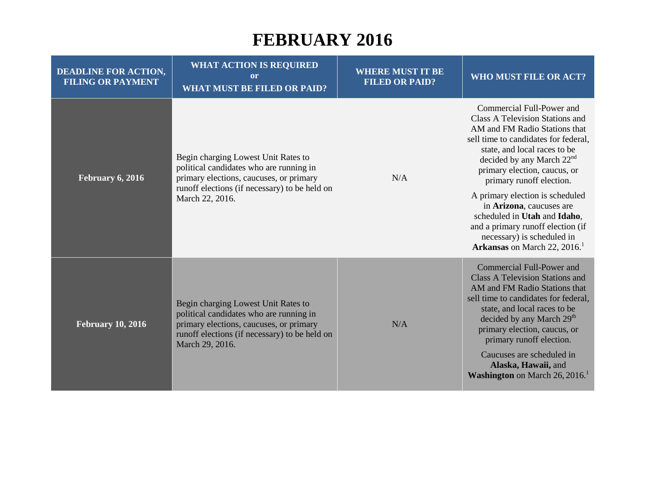| <b>DEADLINE FOR ACTION,</b><br><b>FILING OR PAYMENT</b> | <b>WHAT ACTION IS REQUIRED</b><br>or<br><b>WHAT MUST BE FILED OR PAID?</b>                                                                                                                    | <b>WHERE MUST IT BE</b><br><b>FILED OR PAID?</b> | <b>WHO MUST FILE OR ACT?</b>                                                                                                                                                                                                                                                                                                                                                                                                                                                   |
|---------------------------------------------------------|-----------------------------------------------------------------------------------------------------------------------------------------------------------------------------------------------|--------------------------------------------------|--------------------------------------------------------------------------------------------------------------------------------------------------------------------------------------------------------------------------------------------------------------------------------------------------------------------------------------------------------------------------------------------------------------------------------------------------------------------------------|
| February 6, 2016                                        | Begin charging Lowest Unit Rates to<br>political candidates who are running in<br>primary elections, caucuses, or primary<br>runoff elections (if necessary) to be held on<br>March 22, 2016. | N/A                                              | Commercial Full-Power and<br>Class A Television Stations and<br>AM and FM Radio Stations that<br>sell time to candidates for federal,<br>state, and local races to be<br>decided by any March $22nd$<br>primary election, caucus, or<br>primary runoff election.<br>A primary election is scheduled<br>in Arizona, caucuses are<br>scheduled in Utah and Idaho,<br>and a primary runoff election (if<br>necessary) is scheduled in<br>Arkansas on March 22, 2016. <sup>1</sup> |
| <b>February 10, 2016</b>                                | Begin charging Lowest Unit Rates to<br>political candidates who are running in<br>primary elections, caucuses, or primary<br>runoff elections (if necessary) to be held on<br>March 29, 2016. | N/A                                              | Commercial Full-Power and<br><b>Class A Television Stations and</b><br>AM and FM Radio Stations that<br>sell time to candidates for federal,<br>state, and local races to be<br>decided by any March 29 <sup>th</sup><br>primary election, caucus, or<br>primary runoff election.<br>Caucuses are scheduled in<br>Alaska, Hawaii, and<br><b>Washington</b> on March $26, 2016$ .                                                                                               |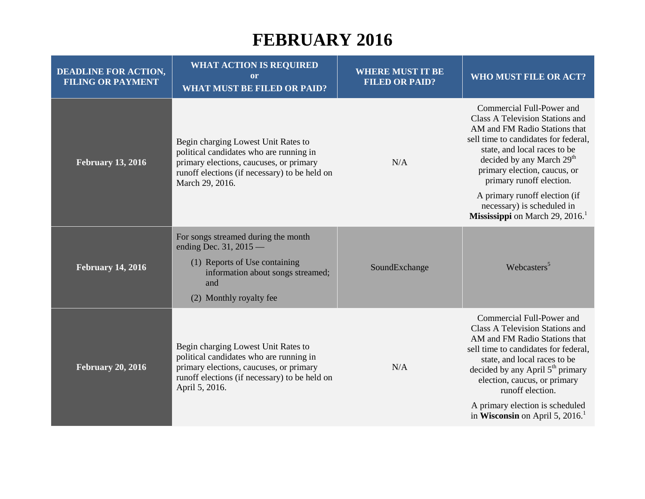| <b>DEADLINE FOR ACTION,</b><br><b>FILING OR PAYMENT</b> | <b>WHAT ACTION IS REQUIRED</b><br><sub>or</sub><br><b>WHAT MUST BE FILED OR PAID?</b>                                                                                                         | <b>WHERE MUST IT BE</b><br><b>FILED OR PAID?</b> | <b>WHO MUST FILE OR ACT?</b>                                                                                                                                                                                                                                                                              |
|---------------------------------------------------------|-----------------------------------------------------------------------------------------------------------------------------------------------------------------------------------------------|--------------------------------------------------|-----------------------------------------------------------------------------------------------------------------------------------------------------------------------------------------------------------------------------------------------------------------------------------------------------------|
| <b>February 13, 2016</b>                                | Begin charging Lowest Unit Rates to<br>political candidates who are running in<br>primary elections, caucuses, or primary<br>runoff elections (if necessary) to be held on<br>March 29, 2016. | N/A                                              | Commercial Full-Power and<br>Class A Television Stations and<br>AM and FM Radio Stations that<br>sell time to candidates for federal,<br>state, and local races to be<br>decided by any March 29 <sup>th</sup><br>primary election, caucus, or<br>primary runoff election.                                |
|                                                         |                                                                                                                                                                                               |                                                  | A primary runoff election (if<br>necessary) is scheduled in<br><b>Mississippi</b> on March 29, 2016.                                                                                                                                                                                                      |
| <b>February 14, 2016</b>                                | For songs streamed during the month<br>ending Dec. 31, 2015 —                                                                                                                                 |                                                  |                                                                                                                                                                                                                                                                                                           |
|                                                         | (1) Reports of Use containing<br>information about songs streamed;<br>and                                                                                                                     | SoundExchange                                    | Webcasters <sup>5</sup>                                                                                                                                                                                                                                                                                   |
|                                                         | (2) Monthly royalty fee                                                                                                                                                                       |                                                  |                                                                                                                                                                                                                                                                                                           |
| <b>February 20, 2016</b>                                | Begin charging Lowest Unit Rates to<br>political candidates who are running in<br>primary elections, caucuses, or primary<br>runoff elections (if necessary) to be held on<br>April 5, 2016.  | N/A                                              | Commercial Full-Power and<br><b>Class A Television Stations and</b><br>AM and FM Radio Stations that<br>sell time to candidates for federal,<br>state, and local races to be<br>decided by any April $5th$ primary<br>election, caucus, or primary<br>runoff election.<br>A primary election is scheduled |
|                                                         |                                                                                                                                                                                               |                                                  | in Wisconsin on April 5, 2016.                                                                                                                                                                                                                                                                            |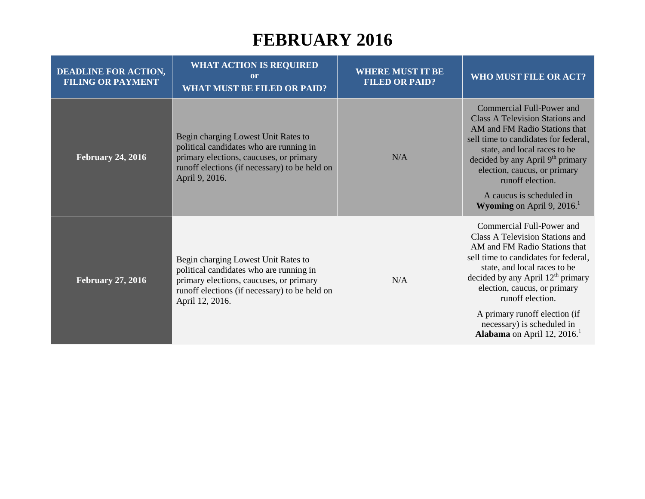| <b>DEADLINE FOR ACTION,</b><br><b>FILING OR PAYMENT</b> | <b>WHAT ACTION IS REQUIRED</b><br>or<br><b>WHAT MUST BE FILED OR PAID?</b>                                                                                                                    | <b>WHERE MUST IT BE</b><br><b>FILED OR PAID?</b> | WHO MUST FILE OR ACT?                                                                                                                                                                                                                                                                                                                                                             |
|---------------------------------------------------------|-----------------------------------------------------------------------------------------------------------------------------------------------------------------------------------------------|--------------------------------------------------|-----------------------------------------------------------------------------------------------------------------------------------------------------------------------------------------------------------------------------------------------------------------------------------------------------------------------------------------------------------------------------------|
| <b>February 24, 2016</b>                                | Begin charging Lowest Unit Rates to<br>political candidates who are running in<br>primary elections, caucuses, or primary<br>runoff elections (if necessary) to be held on<br>April 9, 2016.  | N/A                                              | Commercial Full-Power and<br><b>Class A Television Stations and</b><br>AM and FM Radio Stations that<br>sell time to candidates for federal,<br>state, and local races to be<br>decided by any April 9 <sup>th</sup> primary<br>election, caucus, or primary<br>runoff election.<br>A caucus is scheduled in<br><b>Wyoming</b> on April 9, 2016.                                  |
| <b>February 27, 2016</b>                                | Begin charging Lowest Unit Rates to<br>political candidates who are running in<br>primary elections, caucuses, or primary<br>runoff elections (if necessary) to be held on<br>April 12, 2016. | N/A                                              | Commercial Full-Power and<br>Class A Television Stations and<br>AM and FM Radio Stations that<br>sell time to candidates for federal,<br>state, and local races to be<br>decided by any April $12th$ primary<br>election, caucus, or primary<br>runoff election.<br>A primary runoff election (if<br>necessary) is scheduled in<br><b>Alabama</b> on April 12, 2016. <sup>1</sup> |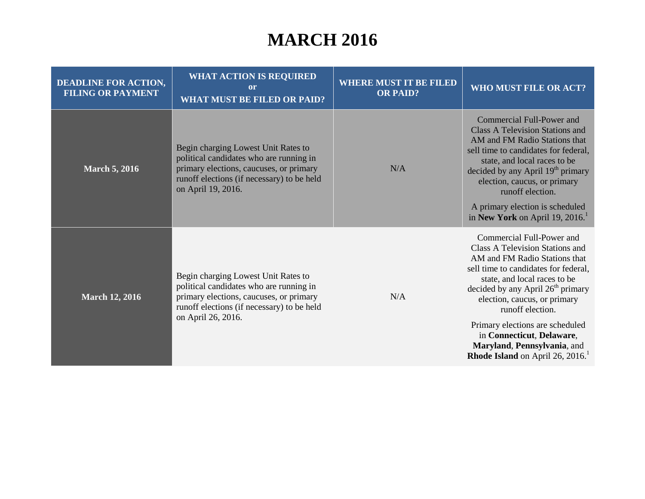# **MARCH 2016**

| <b>DEADLINE FOR ACTION,</b><br><b>FILING OR PAYMENT</b> | <b>WHAT ACTION IS REQUIRED</b><br><sub>or</sub><br><b>WHAT MUST BE FILED OR PAID?</b>                                                                                                         | <b>WHERE MUST IT BE FILED</b><br><b>OR PAID?</b> | WHO MUST FILE OR ACT?                                                                                                                                                                                                                                                                                                                                                                                                  |
|---------------------------------------------------------|-----------------------------------------------------------------------------------------------------------------------------------------------------------------------------------------------|--------------------------------------------------|------------------------------------------------------------------------------------------------------------------------------------------------------------------------------------------------------------------------------------------------------------------------------------------------------------------------------------------------------------------------------------------------------------------------|
| <b>March 5, 2016</b>                                    | Begin charging Lowest Unit Rates to<br>political candidates who are running in<br>primary elections, caucuses, or primary<br>runoff elections (if necessary) to be held<br>on April 19, 2016. | N/A                                              | Commercial Full-Power and<br><b>Class A Television Stations and</b><br>AM and FM Radio Stations that<br>sell time to candidates for federal,<br>state, and local races to be<br>decided by any April 19 <sup>th</sup> primary<br>election, caucus, or primary<br>runoff election.<br>A primary election is scheduled<br>in New York on April 19, 2016. <sup>1</sup>                                                    |
| <b>March 12, 2016</b>                                   | Begin charging Lowest Unit Rates to<br>political candidates who are running in<br>primary elections, caucuses, or primary<br>runoff elections (if necessary) to be held<br>on April 26, 2016. | N/A                                              | Commercial Full-Power and<br>Class A Television Stations and<br>AM and FM Radio Stations that<br>sell time to candidates for federal,<br>state, and local races to be<br>decided by any April $26th$ primary<br>election, caucus, or primary<br>runoff election.<br>Primary elections are scheduled<br>in Connecticut, Delaware,<br>Maryland, Pennsylvania, and<br><b>Rhode Island</b> on April 26, 2016. <sup>1</sup> |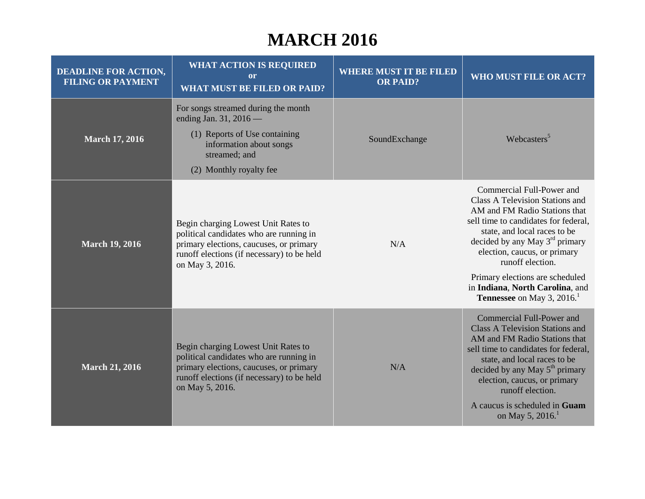#### **MARCH 2016**

| <b>DEADLINE FOR ACTION,</b><br><b>FILING OR PAYMENT</b> | <b>WHAT ACTION IS REQUIRED</b><br><b>or</b><br><b>WHAT MUST BE FILED OR PAID?</b>                                                                                                          | <b>WHERE MUST IT BE FILED</b><br><b>OR PAID?</b> | <b>WHO MUST FILE OR ACT?</b>                                                                                                                                                                                                                                                                                                                                                    |
|---------------------------------------------------------|--------------------------------------------------------------------------------------------------------------------------------------------------------------------------------------------|--------------------------------------------------|---------------------------------------------------------------------------------------------------------------------------------------------------------------------------------------------------------------------------------------------------------------------------------------------------------------------------------------------------------------------------------|
| <b>March 17, 2016</b>                                   | For songs streamed during the month<br>ending Jan. 31, 2016 —<br>(1) Reports of Use containing<br>information about songs<br>streamed; and<br>(2) Monthly royalty fee                      | SoundExchange                                    | Webcasters <sup>5</sup>                                                                                                                                                                                                                                                                                                                                                         |
| <b>March 19, 2016</b>                                   | Begin charging Lowest Unit Rates to<br>political candidates who are running in<br>primary elections, caucuses, or primary<br>runoff elections (if necessary) to be held<br>on May 3, 2016. | N/A                                              | Commercial Full-Power and<br>Class A Television Stations and<br>AM and FM Radio Stations that<br>sell time to candidates for federal,<br>state, and local races to be<br>decided by any May 3 <sup>rd</sup> primary<br>election, caucus, or primary<br>runoff election.<br>Primary elections are scheduled<br>in Indiana, North Carolina, and                                   |
| <b>March 21, 2016</b>                                   | Begin charging Lowest Unit Rates to<br>political candidates who are running in<br>primary elections, caucuses, or primary<br>runoff elections (if necessary) to be held<br>on May 5, 2016. | N/A                                              | Tennessee on May 3, 2016. <sup>1</sup><br>Commercial Full-Power and<br><b>Class A Television Stations and</b><br>AM and FM Radio Stations that<br>sell time to candidates for federal,<br>state, and local races to be<br>decided by any May $5th$ primary<br>election, caucus, or primary<br>runoff election.<br>A caucus is scheduled in Guam<br>on May 5, 2016. <sup>1</sup> |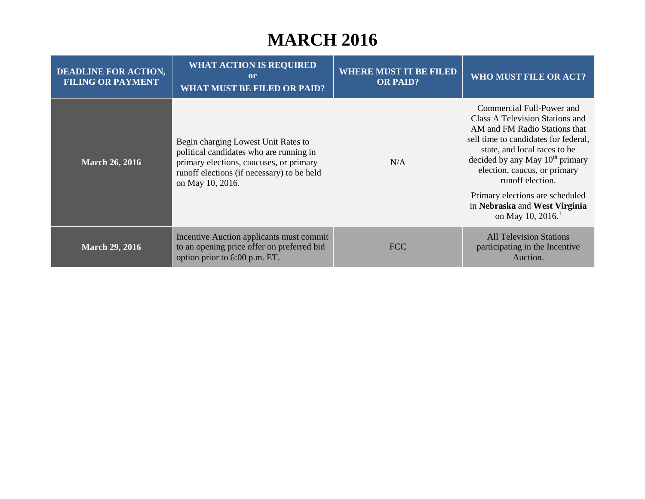#### **MARCH 2016**

| <b>DEADLINE FOR ACTION,</b><br><b>FILING OR PAYMENT</b> | <b>WHAT ACTION IS REQUIRED</b><br><sub>or</sub><br><b>WHAT MUST BE FILED OR PAID?</b>                                                                                                       | <b>WHERE MUST IT BE FILED</b><br><b>OR PAID?</b> | <b>WHO MUST FILE OR ACT?</b>                                                                                                                                                                                                                                                                                                                                           |
|---------------------------------------------------------|---------------------------------------------------------------------------------------------------------------------------------------------------------------------------------------------|--------------------------------------------------|------------------------------------------------------------------------------------------------------------------------------------------------------------------------------------------------------------------------------------------------------------------------------------------------------------------------------------------------------------------------|
| <b>March 26, 2016</b>                                   | Begin charging Lowest Unit Rates to<br>political candidates who are running in<br>primary elections, caucuses, or primary<br>runoff elections (if necessary) to be held<br>on May 10, 2016. | N/A                                              | Commercial Full-Power and<br>Class A Television Stations and<br>AM and FM Radio Stations that<br>sell time to candidates for federal,<br>state, and local races to be<br>decided by any May $10^{th}$ primary<br>election, caucus, or primary<br>runoff election.<br>Primary elections are scheduled<br>in Nebraska and West Virginia<br>on May 10, 2016. <sup>1</sup> |
| <b>March 29, 2016</b>                                   | Incentive Auction applicants must commit<br>to an opening price offer on preferred bid<br>option prior to 6:00 p.m. ET.                                                                     | <b>FCC</b>                                       | <b>All Television Stations</b><br>participating in the Incentive<br>Auction.                                                                                                                                                                                                                                                                                           |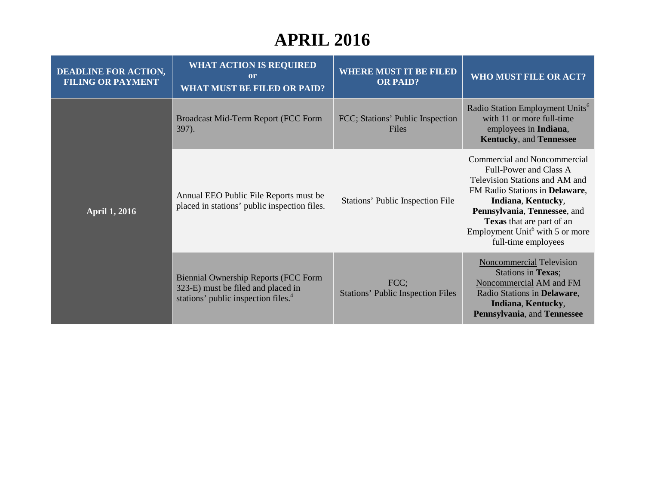| <b>DEADLINE FOR ACTION,</b><br><b>FILING OR PAYMENT</b> | <b>WHAT ACTION IS REQUIRED</b><br><sub>or</sub><br><b>WHAT MUST BE FILED OR PAID?</b>                                                | <b>WHERE MUST IT BE FILED</b><br><b>OR PAID?</b> | <b>WHO MUST FILE OR ACT?</b>                                                                                                                                                                                                                                                        |
|---------------------------------------------------------|--------------------------------------------------------------------------------------------------------------------------------------|--------------------------------------------------|-------------------------------------------------------------------------------------------------------------------------------------------------------------------------------------------------------------------------------------------------------------------------------------|
| <b>April 1, 2016</b>                                    | Broadcast Mid-Term Report (FCC Form<br>$397$ ).                                                                                      | FCC; Stations' Public Inspection<br>Files        | Radio Station Employment Units <sup>6</sup><br>with 11 or more full-time<br>employees in Indiana,<br><b>Kentucky, and Tennessee</b>                                                                                                                                                 |
|                                                         | Annual EEO Public File Reports must be<br>placed in stations' public inspection files.                                               | Stations' Public Inspection File                 | Commercial and Noncommercial<br>Full-Power and Class A<br>Television Stations and AM and<br>FM Radio Stations in Delaware,<br>Indiana, Kentucky,<br>Pennsylvania, Tennessee, and<br>Texas that are part of an<br>Employment Unit <sup>6</sup> with 5 or more<br>full-time employees |
|                                                         | <b>Biennial Ownership Reports (FCC Form</b><br>323-E) must be filed and placed in<br>stations' public inspection files. <sup>4</sup> | FCC;<br><b>Stations' Public Inspection Files</b> | Noncommercial Television<br><b>Stations in Texas;</b><br>Noncommercial AM and FM<br>Radio Stations in Delaware,<br>Indiana, Kentucky,<br>Pennsylvania, and Tennessee                                                                                                                |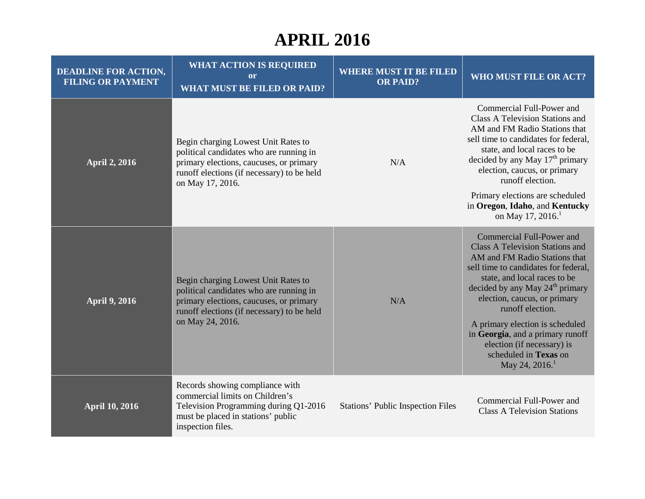| <b>DEADLINE FOR ACTION,</b><br><b>FILING OR PAYMENT</b> | <b>WHAT ACTION IS REQUIRED</b><br>or<br><b>WHAT MUST BE FILED OR PAID?</b>                                                                                                                  | <b>WHERE MUST IT BE FILED</b><br><b>OR PAID?</b> | WHO MUST FILE OR ACT?                                                                                                                                                                                                                                                                                                                                                                                                                       |
|---------------------------------------------------------|---------------------------------------------------------------------------------------------------------------------------------------------------------------------------------------------|--------------------------------------------------|---------------------------------------------------------------------------------------------------------------------------------------------------------------------------------------------------------------------------------------------------------------------------------------------------------------------------------------------------------------------------------------------------------------------------------------------|
| <b>April 2, 2016</b>                                    | Begin charging Lowest Unit Rates to<br>political candidates who are running in<br>primary elections, caucuses, or primary<br>runoff elections (if necessary) to be held<br>on May 17, 2016. | N/A                                              | Commercial Full-Power and<br><b>Class A Television Stations and</b><br>AM and FM Radio Stations that<br>sell time to candidates for federal,<br>state, and local races to be<br>decided by any May $17th$ primary<br>election, caucus, or primary<br>runoff election.<br>Primary elections are scheduled<br>in Oregon, Idaho, and Kentucky<br>on May 17, 2016. <sup>1</sup>                                                                 |
| <b>April 9, 2016</b>                                    | Begin charging Lowest Unit Rates to<br>political candidates who are running in<br>primary elections, caucuses, or primary<br>runoff elections (if necessary) to be held<br>on May 24, 2016. | N/A                                              | Commercial Full-Power and<br><b>Class A Television Stations and</b><br>AM and FM Radio Stations that<br>sell time to candidates for federal,<br>state, and local races to be<br>decided by any May 24 <sup>th</sup> primary<br>election, caucus, or primary<br>runoff election.<br>A primary election is scheduled<br>in Georgia, and a primary runoff<br>election (if necessary) is<br>scheduled in Texas on<br>May 24, 2016. <sup>1</sup> |
| <b>April 10, 2016</b>                                   | Records showing compliance with<br>commercial limits on Children's<br>Television Programming during Q1-2016<br>must be placed in stations' public<br>inspection files.                      | <b>Stations' Public Inspection Files</b>         | Commercial Full-Power and<br><b>Class A Television Stations</b>                                                                                                                                                                                                                                                                                                                                                                             |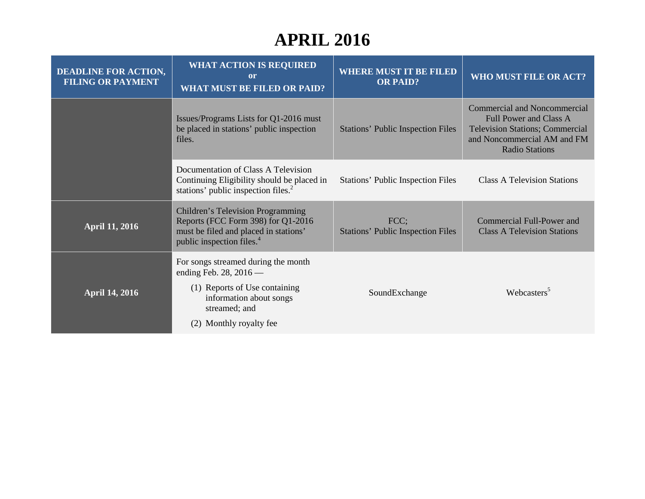| <b>DEADLINE FOR ACTION,</b><br><b>FILING OR PAYMENT</b> | <b>WHAT ACTION IS REQUIRED</b><br><sub>or</sub><br><b>WHAT MUST BE FILED OR PAID?</b>                                                                                   | <b>WHERE MUST IT BE FILED</b><br><b>OR PAID?</b> | WHO MUST FILE OR ACT?                                                                                                                                           |
|---------------------------------------------------------|-------------------------------------------------------------------------------------------------------------------------------------------------------------------------|--------------------------------------------------|-----------------------------------------------------------------------------------------------------------------------------------------------------------------|
|                                                         | Issues/Programs Lists for Q1-2016 must<br>be placed in stations' public inspection<br>files.                                                                            | <b>Stations' Public Inspection Files</b>         | <b>Commercial and Noncommercial</b><br>Full Power and Class A<br><b>Television Stations; Commercial</b><br>and Noncommercial AM and FM<br><b>Radio Stations</b> |
|                                                         | Documentation of Class A Television<br>Continuing Eligibility should be placed in<br>stations' public inspection files. <sup>2</sup>                                    | <b>Stations' Public Inspection Files</b>         | <b>Class A Television Stations</b>                                                                                                                              |
| <b>April 11, 2016</b>                                   | <b>Children's Television Programming</b><br>Reports (FCC Form 398) for Q1-2016<br>must be filed and placed in stations'<br>public inspection files. <sup>4</sup>        | FCC;<br><b>Stations' Public Inspection Files</b> | Commercial Full-Power and<br><b>Class A Television Stations</b>                                                                                                 |
| <b>April 14, 2016</b>                                   | For songs streamed during the month<br>ending Feb. 28, $2016$ —<br>(1) Reports of Use containing<br>information about songs<br>streamed; and<br>(2) Monthly royalty fee | SoundExchange                                    | Webcasters <sup>5</sup>                                                                                                                                         |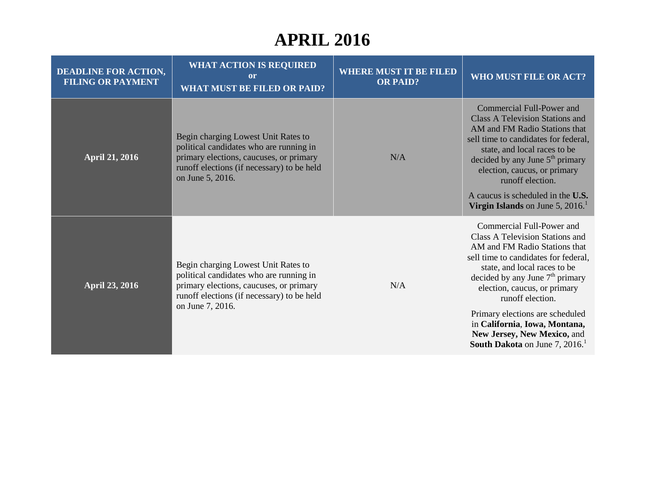| <b>DEADLINE FOR ACTION,</b><br><b>FILING OR PAYMENT</b> | <b>WHAT ACTION IS REQUIRED</b><br>or<br><b>WHAT MUST BE FILED OR PAID?</b>                                                                                                                  | <b>WHERE MUST IT BE FILED</b><br><b>OR PAID?</b> | WHO MUST FILE OR ACT?                                                                                                                                                                                                                                                                                                                                                                                            |
|---------------------------------------------------------|---------------------------------------------------------------------------------------------------------------------------------------------------------------------------------------------|--------------------------------------------------|------------------------------------------------------------------------------------------------------------------------------------------------------------------------------------------------------------------------------------------------------------------------------------------------------------------------------------------------------------------------------------------------------------------|
| <b>April 21, 2016</b>                                   | Begin charging Lowest Unit Rates to<br>political candidates who are running in<br>primary elections, caucuses, or primary<br>runoff elections (if necessary) to be held<br>on June 5, 2016. | N/A                                              | Commercial Full-Power and<br><b>Class A Television Stations and</b><br>AM and FM Radio Stations that<br>sell time to candidates for federal,<br>state, and local races to be<br>decided by any June $5th$ primary<br>election, caucus, or primary<br>runoff election.<br>A caucus is scheduled in the U.S.<br>Virgin Islands on June 5, $2016$ <sup>1</sup>                                                      |
| <b>April 23, 2016</b>                                   | Begin charging Lowest Unit Rates to<br>political candidates who are running in<br>primary elections, caucuses, or primary<br>runoff elections (if necessary) to be held<br>on June 7, 2016. | N/A                                              | Commercial Full-Power and<br><b>Class A Television Stations and</b><br>AM and FM Radio Stations that<br>sell time to candidates for federal,<br>state, and local races to be<br>decided by any June $7th$ primary<br>election, caucus, or primary<br>runoff election.<br>Primary elections are scheduled<br>in California, Iowa, Montana,<br>New Jersey, New Mexico, and<br><b>South Dakota</b> on June 7, 2016. |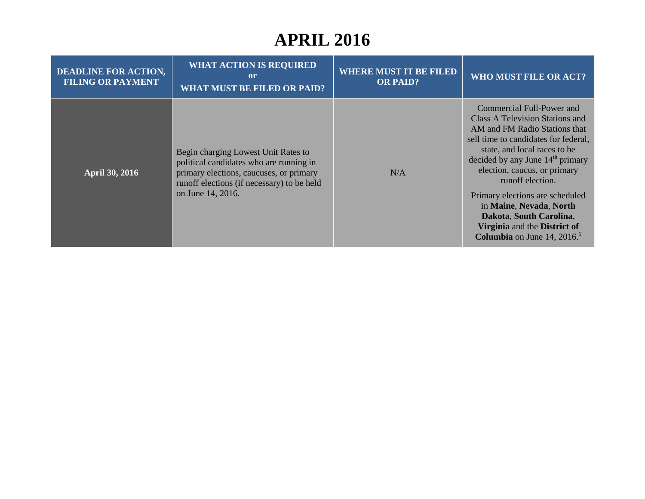| <b>DEADLINE FOR ACTION,</b><br><b>FILING OR PAYMENT</b> | <b>WHAT ACTION IS REQUIRED</b><br>or<br><b>WHAT MUST BE FILED OR PAID?</b>                                                                                                                   | <b>WHERE MUST IT BE FILED</b><br><b>OR PAID?</b> | <b>WHO MUST FILE OR ACT?</b>                                                                                                                                                                                                                                                                                                                                                                                                  |
|---------------------------------------------------------|----------------------------------------------------------------------------------------------------------------------------------------------------------------------------------------------|--------------------------------------------------|-------------------------------------------------------------------------------------------------------------------------------------------------------------------------------------------------------------------------------------------------------------------------------------------------------------------------------------------------------------------------------------------------------------------------------|
| <b>April 30, 2016</b>                                   | Begin charging Lowest Unit Rates to<br>political candidates who are running in<br>primary elections, caucuses, or primary<br>runoff elections (if necessary) to be held<br>on June 14, 2016. | N/A                                              | Commercial Full-Power and<br>Class A Television Stations and<br>AM and FM Radio Stations that<br>sell time to candidates for federal,<br>state, and local races to be<br>decided by any June $14th$ primary<br>election, caucus, or primary<br>runoff election.<br>Primary elections are scheduled<br>in Maine, Nevada, North<br>Dakota, South Carolina,<br>Virginia and the District of<br><b>Columbia</b> on June 14, 2016. |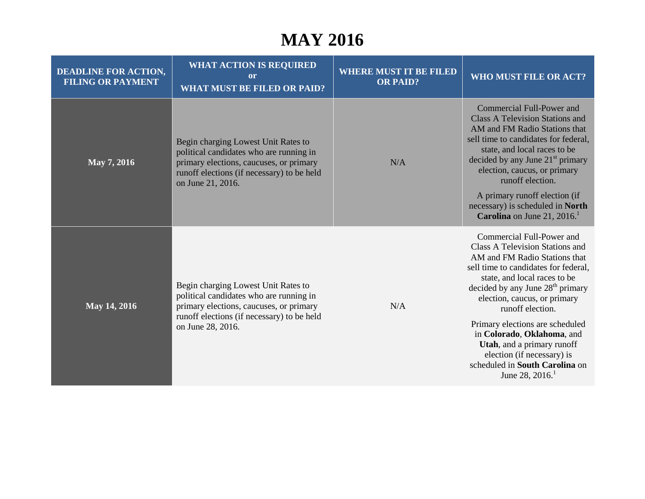#### **MAY 2016**

| <b>DEADLINE FOR ACTION,</b><br><b>FILING OR PAYMENT</b> | <b>WHAT ACTION IS REQUIRED</b><br>or<br><b>WHAT MUST BE FILED OR PAID?</b>                                                                                                                   | <b>WHERE MUST IT BE FILED</b><br><b>OR PAID?</b> | <b>WHO MUST FILE OR ACT?</b>                                                                                                                                                                                                                                                                                                                                                                                                                            |
|---------------------------------------------------------|----------------------------------------------------------------------------------------------------------------------------------------------------------------------------------------------|--------------------------------------------------|---------------------------------------------------------------------------------------------------------------------------------------------------------------------------------------------------------------------------------------------------------------------------------------------------------------------------------------------------------------------------------------------------------------------------------------------------------|
| May 7, 2016                                             | Begin charging Lowest Unit Rates to<br>political candidates who are running in<br>primary elections, caucuses, or primary<br>runoff elections (if necessary) to be held<br>on June 21, 2016. | N/A                                              | Commercial Full-Power and<br><b>Class A Television Stations and</b><br>AM and FM Radio Stations that<br>sell time to candidates for federal,<br>state, and local races to be<br>decided by any June 21 <sup>st</sup> primary<br>election, caucus, or primary<br>runoff election.                                                                                                                                                                        |
|                                                         |                                                                                                                                                                                              |                                                  | A primary runoff election (if<br>necessary) is scheduled in North<br><b>Carolina</b> on June 21, 2016.                                                                                                                                                                                                                                                                                                                                                  |
| May 14, 2016                                            | Begin charging Lowest Unit Rates to<br>political candidates who are running in<br>primary elections, caucuses, or primary<br>runoff elections (if necessary) to be held<br>on June 28, 2016. | N/A                                              | Commercial Full-Power and<br><b>Class A Television Stations and</b><br>AM and FM Radio Stations that<br>sell time to candidates for federal,<br>state, and local races to be<br>decided by any June $28th$ primary<br>election, caucus, or primary<br>runoff election.<br>Primary elections are scheduled<br>in Colorado, Oklahoma, and<br>Utah, and a primary runoff<br>election (if necessary) is<br>scheduled in South Carolina on<br>June 28, 2016. |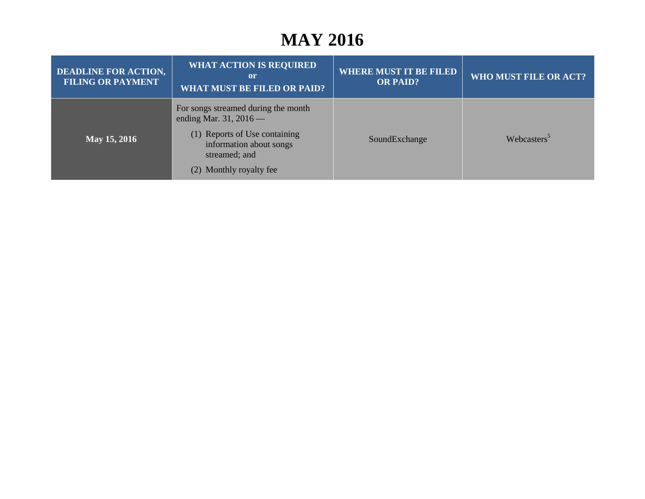#### **MAY 2016**

| <b>DEADLINE FOR ACTION,</b><br><b>FILING OR PAYMENT</b> | <b>WHAT ACTION IS REQUIRED</b><br>or<br><b>WHAT MUST BE FILED OR PAID?</b>                           | <b>WHERE MUST IT BE FILED</b><br><b>OR PAID?</b> | WHO MUST FILE OR ACT?   |
|---------------------------------------------------------|------------------------------------------------------------------------------------------------------|--------------------------------------------------|-------------------------|
|                                                         | For songs streamed during the month<br>ending Mar. 31, $2016$ —                                      |                                                  |                         |
| May 15, 2016                                            | (1) Reports of Use containing<br>information about songs<br>streamed; and<br>(2) Monthly royalty fee | SoundExchange                                    | Webcasters <sup>3</sup> |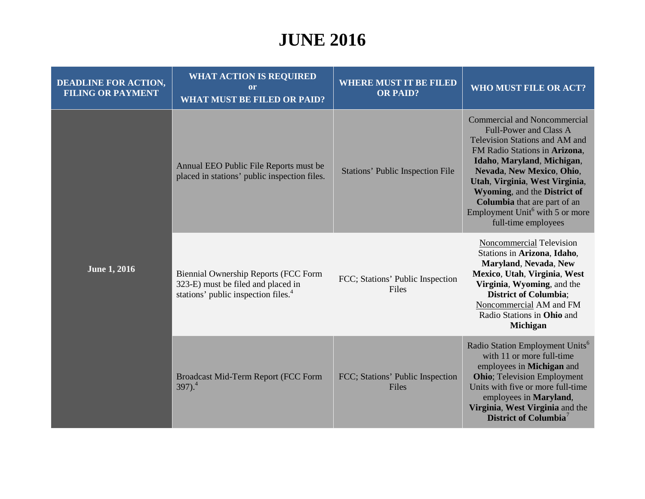| <b>DEADLINE FOR ACTION,</b><br><b>FILING OR PAYMENT</b> | <b>WHAT ACTION IS REQUIRED</b><br><b>or</b><br><b>WHAT MUST BE FILED OR PAID?</b>                                                    | <b>WHERE MUST IT BE FILED</b><br><b>OR PAID?</b> | WHO MUST FILE OR ACT?                                                                                                                                                                                                                                                                                                                                                      |
|---------------------------------------------------------|--------------------------------------------------------------------------------------------------------------------------------------|--------------------------------------------------|----------------------------------------------------------------------------------------------------------------------------------------------------------------------------------------------------------------------------------------------------------------------------------------------------------------------------------------------------------------------------|
| <b>June 1, 2016</b>                                     | Annual EEO Public File Reports must be<br>placed in stations' public inspection files.                                               | <b>Stations' Public Inspection File</b>          | <b>Commercial and Noncommercial</b><br><b>Full-Power and Class A</b><br>Television Stations and AM and<br>FM Radio Stations in Arizona,<br>Idaho, Maryland, Michigan,<br>Nevada, New Mexico, Ohio,<br>Utah, Virginia, West Virginia,<br>Wyoming, and the District of<br>Columbia that are part of an<br>Employment Unit <sup>6</sup> with 5 or more<br>full-time employees |
|                                                         | <b>Biennial Ownership Reports (FCC Form</b><br>323-E) must be filed and placed in<br>stations' public inspection files. <sup>4</sup> | FCC; Stations' Public Inspection<br>Files        | <b>Noncommercial Television</b><br>Stations in Arizona, Idaho,<br>Maryland, Nevada, New<br>Mexico, Utah, Virginia, West<br>Virginia, Wyoming, and the<br><b>District of Columbia;</b><br>Noncommercial AM and FM<br>Radio Stations in Ohio and<br><b>Michigan</b>                                                                                                          |
|                                                         | Broadcast Mid-Term Report (FCC Form<br>$397)$ . <sup>4</sup>                                                                         | FCC; Stations' Public Inspection<br>Files        | Radio Station Employment Units <sup>6</sup><br>with 11 or more full-time<br>employees in Michigan and<br><b>Ohio</b> ; Television Employment<br>Units with five or more full-time<br>employees in Maryland,<br>Virginia, West Virginia and the<br>District of Columbia <sup>7</sup>                                                                                        |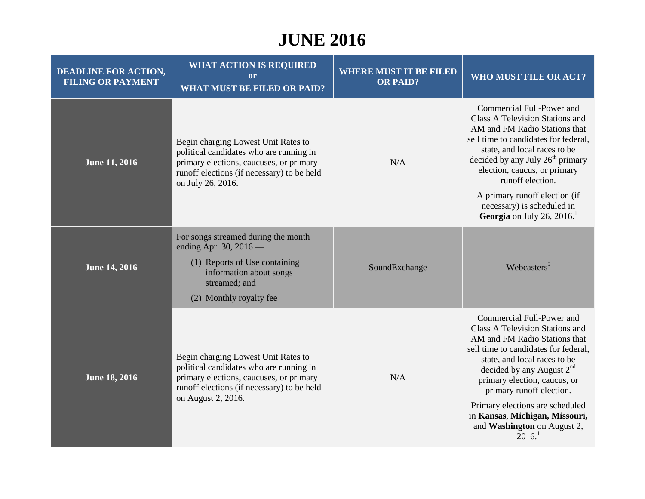| <b>DEADLINE FOR ACTION,</b><br><b>FILING OR PAYMENT</b> | <b>WHAT ACTION IS REQUIRED</b><br><sub>or</sub><br><b>WHAT MUST BE FILED OR PAID?</b>                                                                                                         | <b>WHERE MUST IT BE FILED</b><br><b>OR PAID?</b> | WHO MUST FILE OR ACT?                                                                                                                                                                                                                                                                                                                                                                             |
|---------------------------------------------------------|-----------------------------------------------------------------------------------------------------------------------------------------------------------------------------------------------|--------------------------------------------------|---------------------------------------------------------------------------------------------------------------------------------------------------------------------------------------------------------------------------------------------------------------------------------------------------------------------------------------------------------------------------------------------------|
| <b>June 11, 2016</b>                                    | Begin charging Lowest Unit Rates to<br>political candidates who are running in<br>primary elections, caucuses, or primary<br>runoff elections (if necessary) to be held<br>on July 26, 2016.  | N/A                                              | Commercial Full-Power and<br>Class A Television Stations and<br>AM and FM Radio Stations that<br>sell time to candidates for federal,<br>state, and local races to be<br>decided by any July 26 <sup>th</sup> primary<br>election, caucus, or primary<br>runoff election.                                                                                                                         |
|                                                         |                                                                                                                                                                                               |                                                  | A primary runoff election (if<br>necessary) is scheduled in<br><b>Georgia</b> on July 26, 2016.                                                                                                                                                                                                                                                                                                   |
|                                                         | For songs streamed during the month<br>ending Apr. 30, 2016 -                                                                                                                                 |                                                  |                                                                                                                                                                                                                                                                                                                                                                                                   |
| <b>June 14, 2016</b>                                    | (1) Reports of Use containing<br>information about songs<br>streamed; and                                                                                                                     | SoundExchange                                    | Webcasters <sup>5</sup>                                                                                                                                                                                                                                                                                                                                                                           |
|                                                         | (2) Monthly royalty fee                                                                                                                                                                       |                                                  |                                                                                                                                                                                                                                                                                                                                                                                                   |
| <b>June 18, 2016</b>                                    | Begin charging Lowest Unit Rates to<br>political candidates who are running in<br>primary elections, caucuses, or primary<br>runoff elections (if necessary) to be held<br>on August 2, 2016. | N/A                                              | Commercial Full-Power and<br><b>Class A Television Stations and</b><br>AM and FM Radio Stations that<br>sell time to candidates for federal,<br>state, and local races to be<br>decided by any August $2nd$<br>primary election, caucus, or<br>primary runoff election.<br>Primary elections are scheduled<br>in Kansas, Michigan, Missouri,<br>and Washington on August 2,<br>2016. <sup>1</sup> |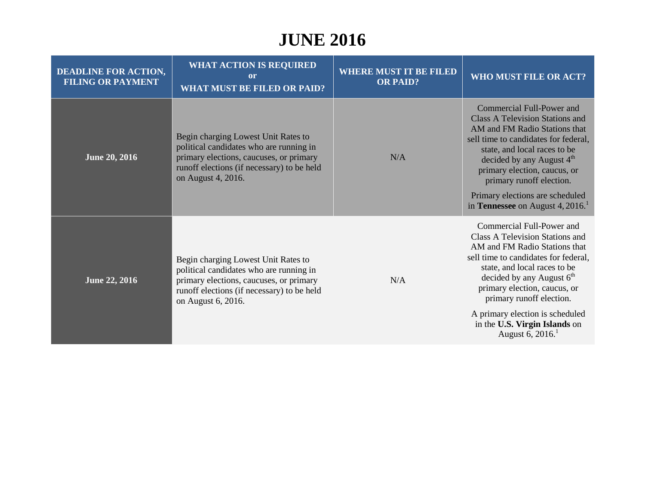| <b>DEADLINE FOR ACTION,</b><br><b>FILING OR PAYMENT</b> | <b>WHAT ACTION IS REQUIRED</b><br><b>or</b><br><b>WHAT MUST BE FILED OR PAID?</b>                                                                                                             | <b>WHERE MUST IT BE FILED</b><br><b>OR PAID?</b> | WHO MUST FILE OR ACT?                                                                                                                                                                                                                                                                                                                                                |
|---------------------------------------------------------|-----------------------------------------------------------------------------------------------------------------------------------------------------------------------------------------------|--------------------------------------------------|----------------------------------------------------------------------------------------------------------------------------------------------------------------------------------------------------------------------------------------------------------------------------------------------------------------------------------------------------------------------|
| <b>June 20, 2016</b>                                    | Begin charging Lowest Unit Rates to<br>political candidates who are running in<br>primary elections, caucuses, or primary<br>runoff elections (if necessary) to be held<br>on August 4, 2016. | N/A                                              | Commercial Full-Power and<br>Class A Television Stations and<br>AM and FM Radio Stations that<br>sell time to candidates for federal,<br>state, and local races to be<br>decided by any August 4 <sup>th</sup><br>primary election, caucus, or<br>primary runoff election.<br>Primary elections are scheduled<br>in <b>Tennessee</b> on August 4, 2016. <sup>1</sup> |
| <b>June 22, 2016</b>                                    | Begin charging Lowest Unit Rates to<br>political candidates who are running in<br>primary elections, caucuses, or primary<br>runoff elections (if necessary) to be held<br>on August 6, 2016. | N/A                                              | Commercial Full-Power and<br>Class A Television Stations and<br>AM and FM Radio Stations that<br>sell time to candidates for federal,<br>state, and local races to be<br>decided by any August $6th$<br>primary election, caucus, or<br>primary runoff election.<br>A primary election is scheduled<br>in the U.S. Virgin Islands on<br>August 6, $20161$            |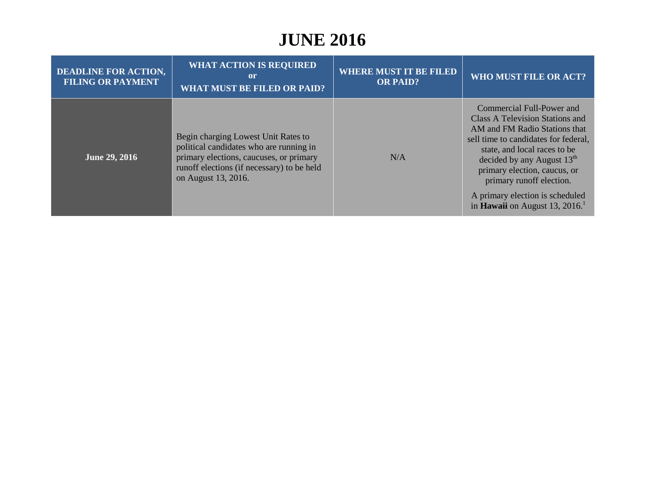| <b>DEADLINE FOR ACTION,</b><br><b>FILING OR PAYMENT</b> | <b>WHAT ACTION IS REQUIRED</b><br>or<br><b>WHAT MUST BE FILED OR PAID?</b>                                                                                                                     | <b>WHERE MUST IT BE FILED</b><br><b>OR PAID?</b> | <b>WHO MUST FILE OR ACT?</b>                                                                                                                                                                                                                                                                                                                       |
|---------------------------------------------------------|------------------------------------------------------------------------------------------------------------------------------------------------------------------------------------------------|--------------------------------------------------|----------------------------------------------------------------------------------------------------------------------------------------------------------------------------------------------------------------------------------------------------------------------------------------------------------------------------------------------------|
| <b>June 29, 2016</b>                                    | Begin charging Lowest Unit Rates to<br>political candidates who are running in<br>primary elections, caucuses, or primary<br>runoff elections (if necessary) to be held<br>on August 13, 2016. | N/A                                              | Commercial Full-Power and<br>Class A Television Stations and<br>AM and FM Radio Stations that<br>sell time to candidates for federal,<br>state, and local races to be<br>decided by any August $13th$<br>primary election, caucus, or<br>primary runoff election.<br>A primary election is scheduled<br>in Hawaii on August 13, 2016. <sup>1</sup> |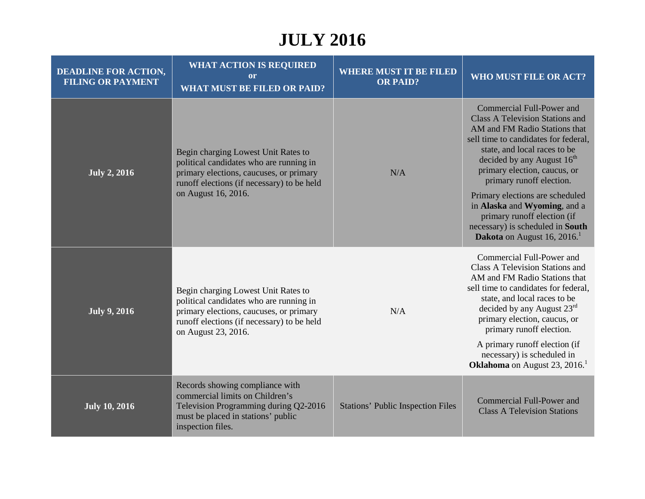| <b>DEADLINE FOR ACTION,</b><br><b>FILING OR PAYMENT</b> | <b>WHAT ACTION IS REQUIRED</b><br><sub>or</sub><br><b>WHAT MUST BE FILED OR PAID?</b>                                                                                                          | <b>WHERE MUST IT BE FILED</b><br><b>OR PAID?</b> | WHO MUST FILE OR ACT?                                                                                                                                                                                                                                                                                                                                 |
|---------------------------------------------------------|------------------------------------------------------------------------------------------------------------------------------------------------------------------------------------------------|--------------------------------------------------|-------------------------------------------------------------------------------------------------------------------------------------------------------------------------------------------------------------------------------------------------------------------------------------------------------------------------------------------------------|
| <b>July 2, 2016</b>                                     | Begin charging Lowest Unit Rates to<br>political candidates who are running in<br>primary elections, caucuses, or primary<br>runoff elections (if necessary) to be held<br>on August 16, 2016. | N/A                                              | Commercial Full-Power and<br><b>Class A Television Stations and</b><br>AM and FM Radio Stations that<br>sell time to candidates for federal,<br>state, and local races to be<br>decided by any August 16 <sup>th</sup><br>primary election, caucus, or<br>primary runoff election.<br>Primary elections are scheduled<br>in Alaska and Wyoming, and a |
|                                                         |                                                                                                                                                                                                |                                                  | primary runoff election (if<br>necessary) is scheduled in South<br><b>Dakota</b> on August 16, 2016.                                                                                                                                                                                                                                                  |
| <b>July 9, 2016</b>                                     | Begin charging Lowest Unit Rates to<br>political candidates who are running in<br>primary elections, caucuses, or primary<br>runoff elections (if necessary) to be held<br>on August 23, 2016. | N/A                                              | Commercial Full-Power and<br><b>Class A Television Stations and</b><br>AM and FM Radio Stations that<br>sell time to candidates for federal,<br>state, and local races to be<br>decided by any August $23rd$<br>primary election, caucus, or<br>primary runoff election.                                                                              |
|                                                         |                                                                                                                                                                                                |                                                  | A primary runoff election (if<br>necessary) is scheduled in<br><b>Oklahoma</b> on August 23, 2016. <sup>1</sup>                                                                                                                                                                                                                                       |
| <b>July 10, 2016</b>                                    | Records showing compliance with<br>commercial limits on Children's<br>Television Programming during Q2-2016<br>must be placed in stations' public<br>inspection files.                         | <b>Stations' Public Inspection Files</b>         | <b>Commercial Full-Power and</b><br><b>Class A Television Stations</b>                                                                                                                                                                                                                                                                                |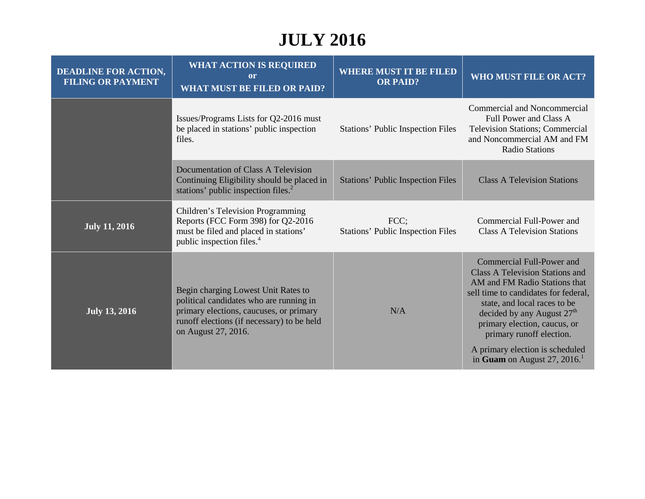| <b>DEADLINE FOR ACTION,</b><br><b>FILING OR PAYMENT</b> | <b>WHAT ACTION IS REQUIRED</b><br>or<br><b>WHAT MUST BE FILED OR PAID?</b>                                                                                                                     | <b>WHERE MUST IT BE FILED</b><br><b>OR PAID?</b> | WHO MUST FILE OR ACT?                                                                                                                                                                                                                                                                                                                           |
|---------------------------------------------------------|------------------------------------------------------------------------------------------------------------------------------------------------------------------------------------------------|--------------------------------------------------|-------------------------------------------------------------------------------------------------------------------------------------------------------------------------------------------------------------------------------------------------------------------------------------------------------------------------------------------------|
|                                                         | Issues/Programs Lists for Q2-2016 must<br>be placed in stations' public inspection<br>files.                                                                                                   | <b>Stations' Public Inspection Files</b>         | <b>Commercial and Noncommercial</b><br>Full Power and Class A<br><b>Television Stations; Commercial</b><br>and Noncommercial AM and FM<br><b>Radio Stations</b>                                                                                                                                                                                 |
|                                                         | Documentation of Class A Television<br>Continuing Eligibility should be placed in<br>stations' public inspection files. <sup>2</sup>                                                           | <b>Stations' Public Inspection Files</b>         | <b>Class A Television Stations</b>                                                                                                                                                                                                                                                                                                              |
| <b>July 11, 2016</b>                                    | Children's Television Programming<br>Reports (FCC Form 398) for Q2-2016<br>must be filed and placed in stations'<br>public inspection files. <sup>4</sup>                                      | FCC;<br><b>Stations' Public Inspection Files</b> | Commercial Full-Power and<br><b>Class A Television Stations</b>                                                                                                                                                                                                                                                                                 |
| <b>July 13, 2016</b>                                    | Begin charging Lowest Unit Rates to<br>political candidates who are running in<br>primary elections, caucuses, or primary<br>runoff elections (if necessary) to be held<br>on August 27, 2016. | N/A                                              | Commercial Full-Power and<br><b>Class A Television Stations and</b><br>AM and FM Radio Stations that<br>sell time to candidates for federal,<br>state, and local races to be<br>decided by any August $27th$<br>primary election, caucus, or<br>primary runoff election.<br>A primary election is scheduled<br>in Guam on August 27, 2016. $^1$ |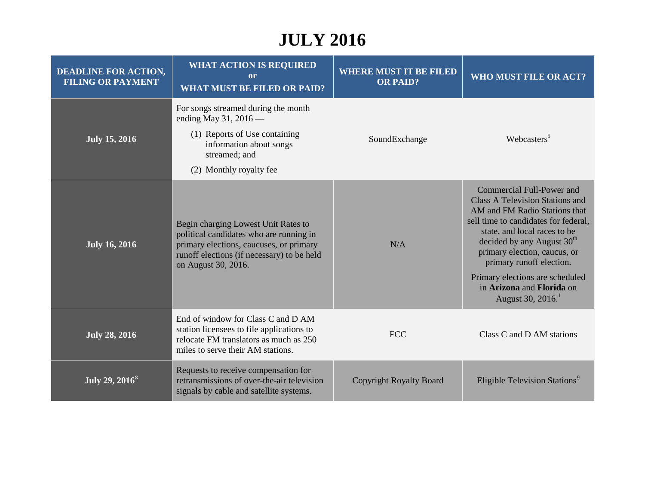| <b>DEADLINE FOR ACTION,</b><br><b>FILING OR PAYMENT</b> | <b>WHAT ACTION IS REQUIRED</b><br>or<br><b>WHAT MUST BE FILED OR PAID?</b>                                                                                                                     | <b>WHERE MUST IT BE FILED</b><br><b>OR PAID?</b> | <b>WHO MUST FILE OR ACT?</b>                                                                                                                                                                                                                                                                                                                                                 |
|---------------------------------------------------------|------------------------------------------------------------------------------------------------------------------------------------------------------------------------------------------------|--------------------------------------------------|------------------------------------------------------------------------------------------------------------------------------------------------------------------------------------------------------------------------------------------------------------------------------------------------------------------------------------------------------------------------------|
| <b>July 15, 2016</b>                                    | For songs streamed during the month<br>ending May 31, 2016 -<br>(1) Reports of Use containing<br>information about songs<br>streamed; and<br>(2) Monthly royalty fee                           | SoundExchange                                    | Webcasters <sup>5</sup>                                                                                                                                                                                                                                                                                                                                                      |
| <b>July 16, 2016</b>                                    | Begin charging Lowest Unit Rates to<br>political candidates who are running in<br>primary elections, caucuses, or primary<br>runoff elections (if necessary) to be held<br>on August 30, 2016. | N/A                                              | Commercial Full-Power and<br>Class A Television Stations and<br>AM and FM Radio Stations that<br>sell time to candidates for federal,<br>state, and local races to be<br>decided by any August 30 <sup>th</sup><br>primary election, caucus, or<br>primary runoff election.<br>Primary elections are scheduled<br>in Arizona and Florida on<br>August 30, 2016. <sup>1</sup> |
| <b>July 28, 2016</b>                                    | End of window for Class C and D AM<br>station licensees to file applications to<br>relocate FM translators as much as 250<br>miles to serve their AM stations.                                 | <b>FCC</b>                                       | Class C and D AM stations                                                                                                                                                                                                                                                                                                                                                    |
| July 29, $2016^8$                                       | Requests to receive compensation for<br>retransmissions of over-the-air television<br>signals by cable and satellite systems.                                                                  | <b>Copyright Royalty Board</b>                   | Eligible Television Stations <sup>9</sup>                                                                                                                                                                                                                                                                                                                                    |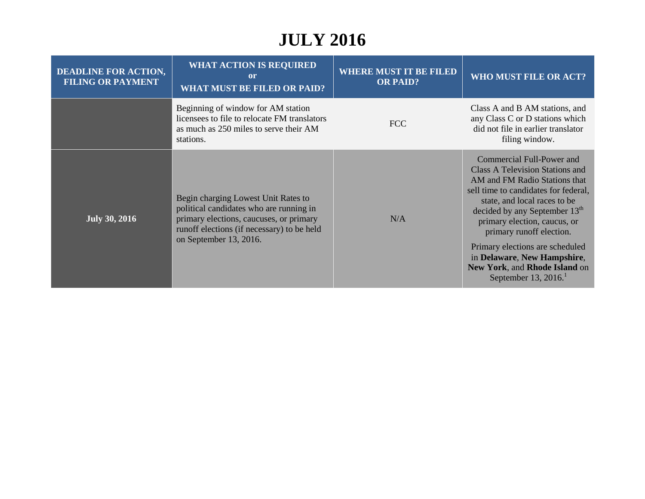| <b>DEADLINE FOR ACTION,</b><br><b>FILING OR PAYMENT</b> | <b>WHAT ACTION IS REQUIRED</b><br>or<br><b>WHAT MUST BE FILED OR PAID?</b>                                                                                                                        | <b>WHERE MUST IT BE FILED</b><br><b>OR PAID?</b> | WHO MUST FILE OR ACT?                                                                                                                                                                                                                                                                                                                                                                                                         |
|---------------------------------------------------------|---------------------------------------------------------------------------------------------------------------------------------------------------------------------------------------------------|--------------------------------------------------|-------------------------------------------------------------------------------------------------------------------------------------------------------------------------------------------------------------------------------------------------------------------------------------------------------------------------------------------------------------------------------------------------------------------------------|
|                                                         | Beginning of window for AM station<br>licensees to file to relocate FM translators<br>as much as 250 miles to serve their AM<br>stations.                                                         | <b>FCC</b>                                       | Class A and B AM stations, and<br>any Class C or D stations which<br>did not file in earlier translator<br>filing window.                                                                                                                                                                                                                                                                                                     |
| <b>July 30, 2016</b>                                    | Begin charging Lowest Unit Rates to<br>political candidates who are running in<br>primary elections, caucuses, or primary<br>runoff elections (if necessary) to be held<br>on September 13, 2016. | N/A                                              | Commercial Full-Power and<br><b>Class A Television Stations and</b><br>AM and FM Radio Stations that<br>sell time to candidates for federal,<br>state, and local races to be<br>decided by any September 13 <sup>th</sup><br>primary election, caucus, or<br>primary runoff election.<br>Primary elections are scheduled<br>in Delaware, New Hampshire,<br>New York, and Rhode Island on<br>September 13, $2016$ <sup>1</sup> |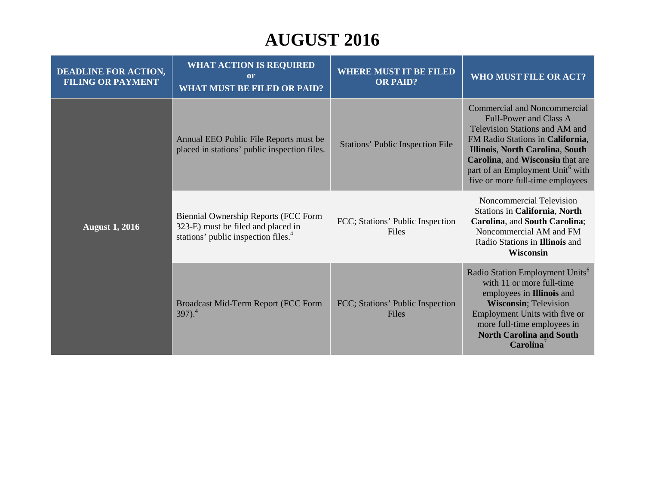# **AUGUST 2016**

| <b>DEADLINE FOR ACTION,</b><br><b>FILING OR PAYMENT</b> | <b>WHAT ACTION IS REQUIRED</b><br><sub>or</sub><br><b>WHAT MUST BE FILED OR PAID?</b>                                                | <b>WHERE MUST IT BE FILED</b><br><b>OR PAID?</b> | WHO MUST FILE OR ACT?                                                                                                                                                                                                                                                                                 |
|---------------------------------------------------------|--------------------------------------------------------------------------------------------------------------------------------------|--------------------------------------------------|-------------------------------------------------------------------------------------------------------------------------------------------------------------------------------------------------------------------------------------------------------------------------------------------------------|
| <b>August 1, 2016</b>                                   | Annual EEO Public File Reports must be<br>placed in stations' public inspection files.                                               | <b>Stations' Public Inspection File</b>          | <b>Commercial and Noncommercial</b><br><b>Full-Power and Class A</b><br>Television Stations and AM and<br>FM Radio Stations in California,<br>Illinois, North Carolina, South<br>Carolina, and Wisconsin that are<br>part of an Employment Unit <sup>6</sup> with<br>five or more full-time employees |
|                                                         | <b>Biennial Ownership Reports (FCC Form</b><br>323-E) must be filed and placed in<br>stations' public inspection files. <sup>4</sup> | FCC; Stations' Public Inspection<br>Files        | Noncommercial Television<br><b>Stations in California, North</b><br>Carolina, and South Carolina;<br>Noncommercial AM and FM<br>Radio Stations in Illinois and<br><b>Wisconsin</b>                                                                                                                    |
|                                                         | Broadcast Mid-Term Report (FCC Form<br>$397)$ <sup>4</sup>                                                                           | FCC; Stations' Public Inspection<br>Files        | Radio Station Employment Units <sup>6</sup><br>with 11 or more full-time<br>employees in <b>Illinois</b> and<br><b>Wisconsin</b> ; Television<br>Employment Units with five or<br>more full-time employees in<br><b>North Carolina and South</b><br>Carolina <sup>7</sup>                             |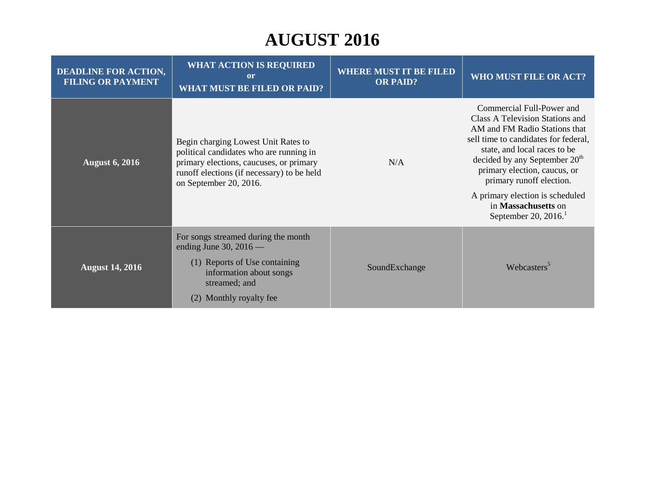# **AUGUST 2016**

| <b>DEADLINE FOR ACTION,</b><br><b>FILING OR PAYMENT</b> | <b>WHAT ACTION IS REQUIRED</b><br>$\mathbf{or}$<br><b>WHAT MUST BE FILED OR PAID?</b>                                                                                                             | <b>WHERE MUST IT BE FILED</b><br><b>OR PAID?</b> | WHO MUST FILE OR ACT?                                                                                                                                                                                                                                                                                                                                               |
|---------------------------------------------------------|---------------------------------------------------------------------------------------------------------------------------------------------------------------------------------------------------|--------------------------------------------------|---------------------------------------------------------------------------------------------------------------------------------------------------------------------------------------------------------------------------------------------------------------------------------------------------------------------------------------------------------------------|
| <b>August 6, 2016</b>                                   | Begin charging Lowest Unit Rates to<br>political candidates who are running in<br>primary elections, caucuses, or primary<br>runoff elections (if necessary) to be held<br>on September 20, 2016. | N/A                                              | Commercial Full-Power and<br>Class A Television Stations and<br>AM and FM Radio Stations that<br>sell time to candidates for federal,<br>state, and local races to be<br>decided by any September $20th$<br>primary election, caucus, or<br>primary runoff election.<br>A primary election is scheduled<br>in Massachusetts on<br>September 20, $2016$ <sup>1</sup> |
| <b>August 14, 2016</b>                                  | For songs streamed during the month<br>ending June 30, $2016$ —<br>(1) Reports of Use containing<br>information about songs<br>streamed; and<br>Monthly royalty fee<br>(2)                        | SoundExchange                                    | Webcasters <sup>5</sup>                                                                                                                                                                                                                                                                                                                                             |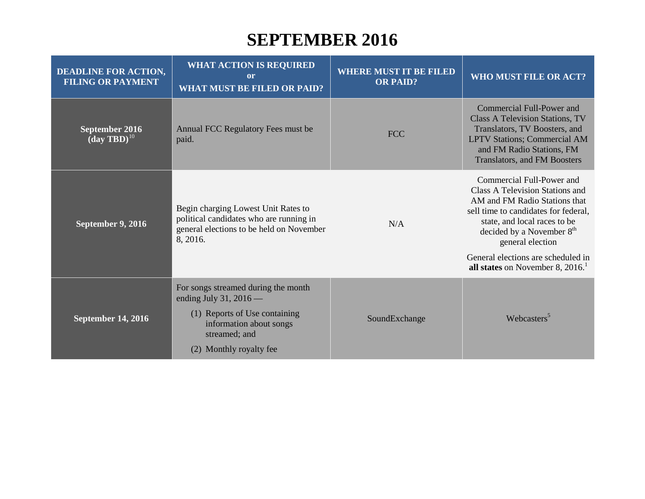#### **SEPTEMBER 2016**

| <b>DEADLINE FOR ACTION,</b><br><b>FILING OR PAYMENT</b> | <b>WHAT ACTION IS REQUIRED</b><br>or<br><b>WHAT MUST BE FILED OR PAID?</b>                                                             | <b>WHERE MUST IT BE FILED</b><br><b>OR PAID?</b> | <b>WHO MUST FILE OR ACT?</b>                                                                                                                                                                                                       |
|---------------------------------------------------------|----------------------------------------------------------------------------------------------------------------------------------------|--------------------------------------------------|------------------------------------------------------------------------------------------------------------------------------------------------------------------------------------------------------------------------------------|
| September 2016<br>$(\mathbf{day} \mathbf{TBD})^{10}$    | Annual FCC Regulatory Fees must be<br>paid.                                                                                            | <b>FCC</b>                                       | Commercial Full-Power and<br><b>Class A Television Stations, TV</b><br>Translators, TV Boosters, and<br><b>LPTV Stations; Commercial AM</b><br>and FM Radio Stations, FM<br><b>Translators, and FM Boosters</b>                    |
| September 9, 2016                                       | Begin charging Lowest Unit Rates to<br>political candidates who are running in<br>general elections to be held on November<br>8, 2016. | N/A                                              | Commercial Full-Power and<br>Class A Television Stations and<br>AM and FM Radio Stations that<br>sell time to candidates for federal,<br>state, and local races to be<br>decided by a November 8 <sup>th</sup><br>general election |
|                                                         |                                                                                                                                        |                                                  | General elections are scheduled in<br>all states on November 8, $20161$                                                                                                                                                            |
|                                                         | For songs streamed during the month<br>ending July 31, 2016 $-$                                                                        |                                                  |                                                                                                                                                                                                                                    |
| September 14, 2016                                      | (1) Reports of Use containing<br>information about songs<br>streamed; and                                                              | SoundExchange                                    | Webcasters <sup>5</sup>                                                                                                                                                                                                            |
|                                                         | (2) Monthly royalty fee                                                                                                                |                                                  |                                                                                                                                                                                                                                    |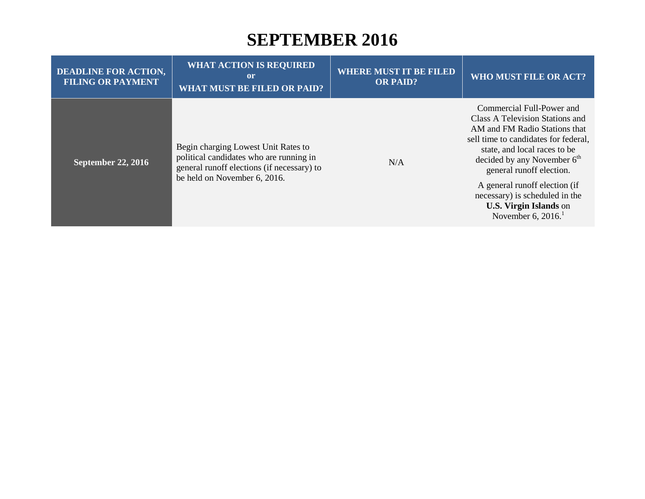#### **SEPTEMBER 2016**

| <b>DEADLINE FOR ACTION,</b><br><b>FILING OR PAYMENT</b> | <b>WHAT ACTION IS REQUIRED</b><br>or<br><b>WHAT MUST BE FILED OR PAID?</b>                                                                                   | <b>WHERE MUST IT BE FILED</b><br><b>OR PAID?</b> | <b>WHO MUST FILE OR ACT?</b>                                                                                                                                                                                                                                                                                                                                              |
|---------------------------------------------------------|--------------------------------------------------------------------------------------------------------------------------------------------------------------|--------------------------------------------------|---------------------------------------------------------------------------------------------------------------------------------------------------------------------------------------------------------------------------------------------------------------------------------------------------------------------------------------------------------------------------|
| <b>September 22, 2016</b>                               | Begin charging Lowest Unit Rates to<br>political candidates who are running in<br>general runoff elections (if necessary) to<br>be held on November 6, 2016. | N/A                                              | Commercial Full-Power and<br>Class A Television Stations and<br>AM and FM Radio Stations that<br>sell time to candidates for federal,<br>state, and local races to be<br>decided by any November $6th$<br>general runoff election.<br>A general runoff election (if<br>necessary) is scheduled in the<br><b>U.S. Virgin Islands</b> on<br>November 6, $2016$ <sup>1</sup> |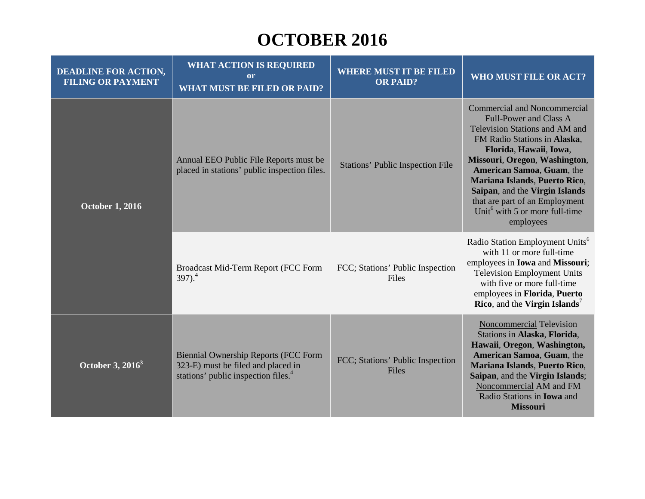#### **OCTOBER 2016**

| <b>DEADLINE FOR ACTION,</b><br><b>FILING OR PAYMENT</b> | <b>WHAT ACTION IS REQUIRED</b><br>or<br><b>WHAT MUST BE FILED OR PAID?</b>                                                           | <b>WHERE MUST IT BE FILED</b><br><b>OR PAID?</b> | WHO MUST FILE OR ACT?                                                                                                                                                                                                                                                                                                                                                                                       |
|---------------------------------------------------------|--------------------------------------------------------------------------------------------------------------------------------------|--------------------------------------------------|-------------------------------------------------------------------------------------------------------------------------------------------------------------------------------------------------------------------------------------------------------------------------------------------------------------------------------------------------------------------------------------------------------------|
| <b>October 1, 2016</b>                                  | Annual EEO Public File Reports must be<br>placed in stations' public inspection files.                                               | <b>Stations' Public Inspection File</b>          | <b>Commercial and Noncommercial</b><br><b>Full-Power and Class A</b><br>Television Stations and AM and<br>FM Radio Stations in Alaska,<br>Florida, Hawaii, Iowa,<br>Missouri, Oregon, Washington,<br>American Samoa, Guam, the<br>Mariana Islands, Puerto Rico,<br>Saipan, and the Virgin Islands<br>that are part of an Employment<br>Unit <sup><math>6</math></sup> with 5 or more full-time<br>employees |
|                                                         | Broadcast Mid-Term Report (FCC Form<br>$397)$ <sup>4</sup>                                                                           | FCC; Stations' Public Inspection<br>Files        | Radio Station Employment Units <sup>6</sup><br>with 11 or more full-time<br>employees in <b>Iowa</b> and <b>Missouri</b> ;<br><b>Television Employment Units</b><br>with five or more full-time<br>employees in Florida, Puerto<br><b>Rico</b> , and the Virgin Islands <sup>7</sup>                                                                                                                        |
| October 3, $2016^3$                                     | <b>Biennial Ownership Reports (FCC Form</b><br>323-E) must be filed and placed in<br>stations' public inspection files. <sup>4</sup> | FCC; Stations' Public Inspection<br>Files        | Noncommercial Television<br>Stations in Alaska, Florida,<br>Hawaii, Oregon, Washington,<br>American Samoa, Guam, the<br>Mariana Islands, Puerto Rico,<br>Saipan, and the Virgin Islands;<br>Noncommercial AM and FM<br>Radio Stations in <b>Iowa</b> and<br><b>Missouri</b>                                                                                                                                 |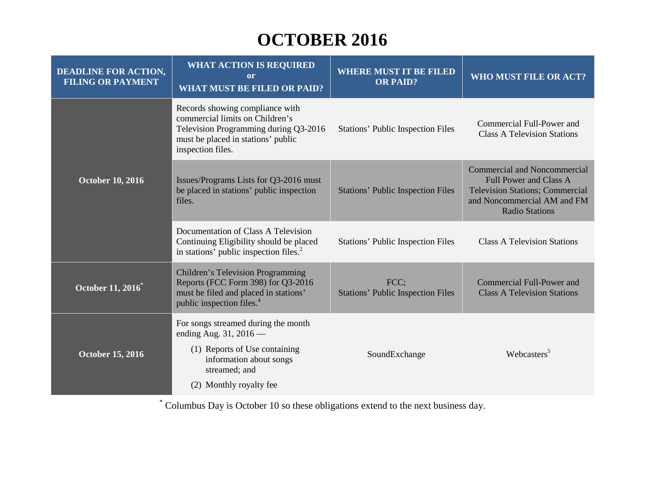# **OCTOBER 2016**

| <b>DEADLINE FOR ACTION,</b><br><b>FILING OR PAYMENT</b> | <b>WHAT ACTION IS REQUIRED</b><br>or<br><b>WHAT MUST BE FILED OR PAID?</b>                                                                                              | <b>WHERE MUST IT BE FILED</b><br><b>OR PAID?</b> | <b>WHO MUST FILE OR ACT?</b>                                                                                                                                           |
|---------------------------------------------------------|-------------------------------------------------------------------------------------------------------------------------------------------------------------------------|--------------------------------------------------|------------------------------------------------------------------------------------------------------------------------------------------------------------------------|
| <b>October 10, 2016</b>                                 | Records showing compliance with<br>commercial limits on Children's<br>Television Programming during Q3-2016<br>must be placed in stations' public<br>inspection files.  | <b>Stations' Public Inspection Files</b>         | Commercial Full-Power and<br><b>Class A Television Stations</b>                                                                                                        |
|                                                         | Issues/Programs Lists for Q3-2016 must<br>be placed in stations' public inspection<br>files.                                                                            | <b>Stations' Public Inspection Files</b>         | <b>Commercial and Noncommercial</b><br><b>Full Power and Class A</b><br><b>Television Stations; Commercial</b><br>and Noncommercial AM and FM<br><b>Radio Stations</b> |
|                                                         | Documentation of Class A Television<br>Continuing Eligibility should be placed<br>in stations' public inspection files. <sup>2</sup>                                    | <b>Stations' Public Inspection Files</b>         | <b>Class A Television Stations</b>                                                                                                                                     |
| October 11, 2016 <sup>*</sup>                           | <b>Children's Television Programming</b><br>Reports (FCC Form 398) for Q3-2016<br>must be filed and placed in stations'<br>public inspection files. <sup>4</sup>        | FCC:<br><b>Stations' Public Inspection Files</b> | Commercial Full-Power and<br><b>Class A Television Stations</b>                                                                                                        |
| <b>October 15, 2016</b>                                 | For songs streamed during the month<br>ending Aug. $31, 2016$ —<br>(1) Reports of Use containing<br>information about songs<br>streamed; and<br>(2) Monthly royalty fee | SoundExchange                                    | Webcasters <sup>5</sup>                                                                                                                                                |

\* Columbus Day is October 10 so these obligations extend to the next business day.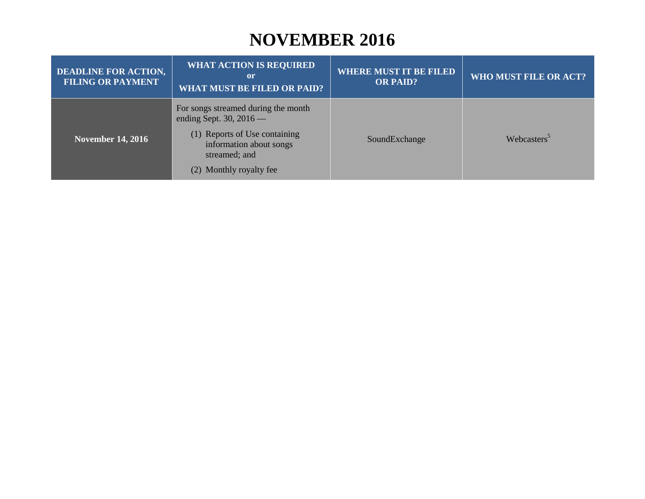#### **NOVEMBER 2016**

| <b>DEADLINE FOR ACTION,</b><br><b>FILING OR PAYMENT</b> | <b>WHAT ACTION IS REQUIRED</b><br>or<br><b>WHAT MUST BE FILED OR PAID?</b>                                                                                               | <b>WHERE MUST IT BE FILED</b><br><b>OR PAID?</b> | WHO MUST FILE OR ACT?   |
|---------------------------------------------------------|--------------------------------------------------------------------------------------------------------------------------------------------------------------------------|--------------------------------------------------|-------------------------|
| <b>November 14, 2016</b>                                | For songs streamed during the month<br>ending Sept. 30, $2016$ —<br>(1) Reports of Use containing<br>information about songs<br>streamed; and<br>(2) Monthly royalty fee | SoundExchange                                    | Webcasters <sup>5</sup> |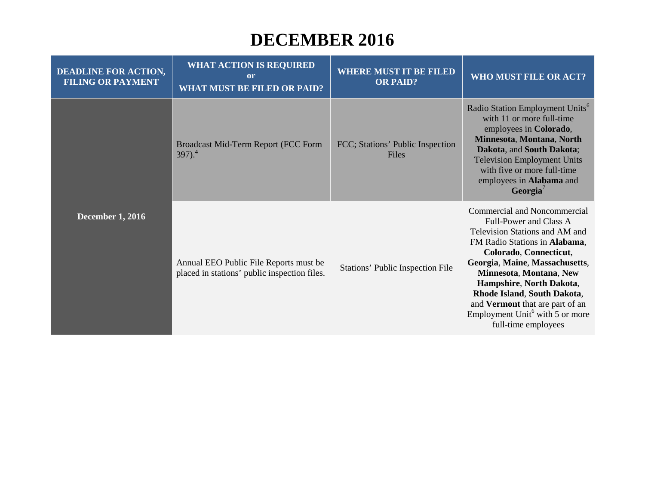#### **DECEMBER 2016**

| <b>DEADLINE FOR ACTION,</b><br><b>FILING OR PAYMENT</b> | <b>WHAT ACTION IS REQUIRED</b><br><sub>or</sub><br><b>WHAT MUST BE FILED OR PAID?</b>  | <b>WHERE MUST IT BE FILED</b><br><b>OR PAID?</b> | <b>WHO MUST FILE OR ACT?</b>                                                                                                                                                                                                                                                                                                                                                         |
|---------------------------------------------------------|----------------------------------------------------------------------------------------|--------------------------------------------------|--------------------------------------------------------------------------------------------------------------------------------------------------------------------------------------------------------------------------------------------------------------------------------------------------------------------------------------------------------------------------------------|
| <b>December 1, 2016</b>                                 | Broadcast Mid-Term Report (FCC Form<br>$397)$ <sup>4</sup>                             | FCC; Stations' Public Inspection<br>Files        | Radio Station Employment Units <sup>6</sup><br>with 11 or more full-time<br>employees in Colorado,<br>Minnesota, Montana, North<br>Dakota, and South Dakota;<br><b>Television Employment Units</b><br>with five or more full-time<br>employees in Alabama and<br>Georgia <sup>'</sup>                                                                                                |
|                                                         | Annual EEO Public File Reports must be<br>placed in stations' public inspection files. | Stations' Public Inspection File                 | Commercial and Noncommercial<br>Full-Power and Class A<br>Television Stations and AM and<br>FM Radio Stations in Alabama,<br>Colorado, Connecticut,<br>Georgia, Maine, Massachusetts,<br>Minnesota, Montana, New<br>Hampshire, North Dakota,<br>Rhode Island, South Dakota,<br>and Vermont that are part of an<br>Employment Unit <sup>6</sup> with 5 or more<br>full-time employees |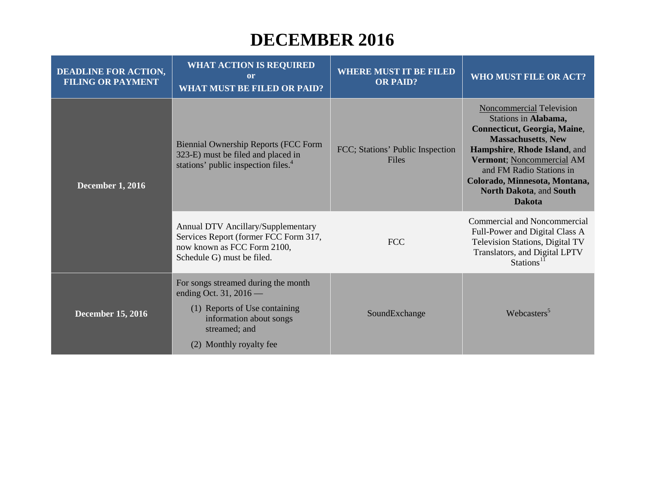#### **DECEMBER 2016**

| <b>DEADLINE FOR ACTION,</b><br><b>FILING OR PAYMENT</b> | <b>WHAT ACTION IS REQUIRED</b><br>or<br><b>WHAT MUST BE FILED OR PAID?</b>                                                                                                 | <b>WHERE MUST IT BE FILED</b><br><b>OR PAID?</b> | WHO MUST FILE OR ACT?                                                                                                                                                                                                                                                                      |
|---------------------------------------------------------|----------------------------------------------------------------------------------------------------------------------------------------------------------------------------|--------------------------------------------------|--------------------------------------------------------------------------------------------------------------------------------------------------------------------------------------------------------------------------------------------------------------------------------------------|
| <b>December 1, 2016</b>                                 | <b>Biennial Ownership Reports (FCC Form</b><br>323-E) must be filed and placed in<br>stations' public inspection files. <sup>4</sup>                                       | FCC; Stations' Public Inspection<br><b>Files</b> | <b>Noncommercial Television</b><br>Stations in Alabama,<br>Connecticut, Georgia, Maine,<br><b>Massachusetts, New</b><br>Hampshire, Rhode Island, and<br>Vermont; Noncommercial AM<br>and FM Radio Stations in<br>Colorado, Minnesota, Montana,<br>North Dakota, and South<br><b>Dakota</b> |
|                                                         | Annual DTV Ancillary/Supplementary<br>Services Report (former FCC Form 317,<br>now known as FCC Form 2100,<br>Schedule G) must be filed.                                   | <b>FCC</b>                                       | <b>Commercial and Noncommercial</b><br>Full-Power and Digital Class A<br>Television Stations, Digital TV<br>Translators, and Digital LPTV<br>Stations <sup>11</sup>                                                                                                                        |
| <b>December 15, 2016</b>                                | For songs streamed during the month<br>ending Oct. 31, 2016 $-$<br>(1) Reports of Use containing<br>information about songs<br>streamed; and<br>Monthly royalty fee<br>(2) | SoundExchange                                    | Webcasters <sup>5</sup>                                                                                                                                                                                                                                                                    |